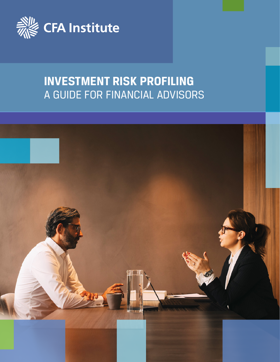

# **INVESTMENT RISK PROFILING** A GUIDE FOR FINANCIAL ADVISORS

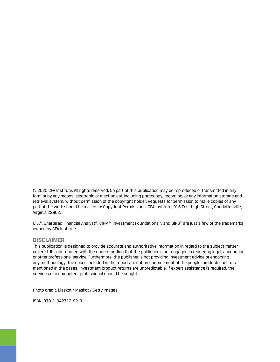© 2020 CFA Institute. All rights reserved. No part of this publication may be reproduced or transmitted in any form or by any means, electronic or mechanical, including photocopy, recording, or any information storage and retrieval system, without permission of the copyright holder. Requests for permission to make copies of any part of the work should be mailed to: Copyright Permissions, CFA Institute, 915 East High Street, Charlottesville, Virginia 22902.

CFA®, Chartered Financial Analyst®, CIPM®, Investment Foundations™, and GIPS® are just a few of the trademarks owned by CFA Institute.

#### **DISCLAIMER**

This publication is designed to provide accurate and authoritative information in regard to the subject matter covered. It is distributed with the understanding that the publisher is not engaged in rendering legal, accounting, or other professional service. Furthermore, the publisher is not providing investment advice or endorsing any methodology. The cases included in the report are not an endorsement of the people, products, or firms mentioned in the cases; investment product returns are unpredictable. If expert assistance is required, the services of a competent professional should be sought.

Photo credit: Maskot / Maskot / Getty Images

ISBN: 978-1-942713-92-0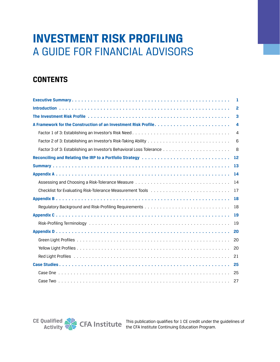# **INVESTMENT RISK PROFILING** A GUIDE FOR FINANCIAL ADVISORS

# **CONTENTS**

| -1               |
|------------------|
| $\overline{2}$   |
| 3                |
| $\boldsymbol{4}$ |
| $\overline{4}$   |
| 6                |
| 8                |
| 12               |
| 13               |
| -14              |
| 14               |
| 17               |
| 18               |
| 18               |
| 19               |
| 19               |
| 20               |
| 20               |
| 20               |
| 21               |
|                  |
|                  |
|                  |

**CE Qualified Activity**

This publication qualifies for 1 CE credit under the guidelines of the CFA Institute Continuing Education Program.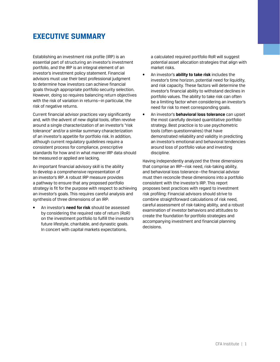### <span id="page-4-0"></span>**EXECUTIVE SUMMARY**

Establishing an investment risk profile (IRP) is an essential part of structuring an investor's investment portfolio, and the IRP is an integral element of an investor's investment policy statement. Financial advisors must use their best professional judgment to determine how investors can achieve financial goals through appropriate portfolio security selection. However, doing so requires balancing return objectives with the risk of variation in returns—in particular, the risk of negative returns.

Current financial advisor practices vary significantly and, with the advent of new digital tools, often revolve around a single characterization of an investor's "risk tolerance" and/or a similar summary characterization of an investor's appetite for portfolio risk. In addition, although current regulatory guidelines require a consistent process for compliance, prescriptive standards for how and in what manner IRP data should be measured or applied are lacking.

An important financial advisory skill is the ability to develop a comprehensive representation of an investor's IRP. A robust IRP measure provides a pathway to ensure that any proposed portfolio strategy is fit for the purpose with respect to achieving an investor's goals. This requires careful analysis and synthesis of three dimensions of an IRP:

• An investor's **need for risk** should be assessed by considering the required rate of return (RoR) on the investment portfolio to fulfill the investor's future lifestyle, charitable, and dynastic goals. In concert with capital markets expectations,

a calculated required portfolio RoR will suggest potential asset allocation strategies that align with market risks.

- An investor's **ability to take risk** includes the investor's time horizon, potential need for liquidity, and risk capacity. These factors will determine the investor's financial ability to withstand declines in portfolio values. The ability to take risk can often be a limiting factor when considering an investor's need for risk to meet corresponding goals.
- An investor's **behavioral loss tolerance** can upset the most carefully devised quantitative portfolio strategy. Best practice is to use psychometric tools (often questionnaires) that have demonstrated reliability and validity in predicting an investor's emotional and behavioral tendencies around loss of portfolio value and investing discipline.

Having independently analyzed the three dimensions that comprise an IRP—risk need, risk-taking ability, and behavioral loss tolerance—the financial advisor must then reconcile these dimensions into a portfolio consistent with the investor's IRP. This report proposes best practices with regard to investment risk profiling: Financial advisors should strive to combine straightforward calculations of risk need, careful assessment of risk-taking ability, and a robust examination of investor behaviors and attitudes to create the foundation for portfolio strategies and accompanying investment and financial planning decisions.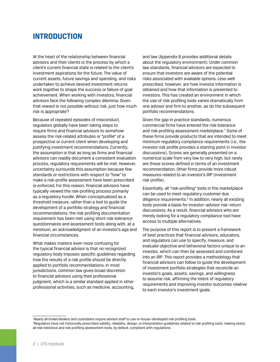### <span id="page-5-0"></span>**INTRODUCTION**

At the heart of the relationship between financial advisors and their clients is the process by which a client's current financial state is related to the client's investment aspirations for the future. The value of current assets, future savings and spending, and risks undertaken to achieve desired investment returns work together to shape the success or failure of goal achievement. When working with investors, financial advisors face the following complex dilemma: Given that reward is not possible without risk, just how much risk is appropriate?

Because of repeated episodes of misconduct, regulators globally have been taking steps to require firms and financial advisors to somehow assess the risk-related attributes or "profile" of a prospective or current client when developing and justifying investment recommendations. Currently, the assumption is that as long as firms and financial advisors can readily document a consistent evaluation process, regulatory requirements will be met. However, uncertainty surrounds this assumption because few standards or restrictions with respect to "how" to make a risk-profile assessment have been prescribed or enforced. For this reason, financial advisors have typically viewed the risk-profiling process primarily as a regulatory hurdle. When conceptualized as a threshold measure, rather than a tool to guide the development of a portfolio strategy and financial recommendations, the risk-profiling documentation requirement has been met using short risk-tolerance questionnaires and assessment tests along with, at a minimum, an acknowledgment of an investor's age and financial circumstances.

What makes matters even more confusing for the typical financial advisor is that no recognized regulatory body imposes specific guidelines regarding how the results of a risk profile should be directly applied to portfolio recommendations. In most jurisdictions, common law gives broad discretion to financial advisors using their professional judgment, which is a similar standard applied in other professional activities, such as medicine, accounting,

and law (Appendix B provides additional details about the regulatory environment). Under common law standards, financial advisors are expected to ensure that investors are aware of the potential risks associated with available options. Less well prescribed, however, are how investor information is obtained and how that information is presented to investors. This has created an environment in which the use of risk-profiling tools varies dramatically from one advisor and firm to another, as do the subsequent portfolio recommendations.

Given the gap in practice standards, numerous commercial firms have entered the risk-tolerance and risk-profiling assessment marketplace.<sup>1</sup> Some of these firms provide products that are intended to meet minimum regulatory compliance requirements (i.e., the investor risk profile provides a starting point in investor discussions). Scores are generally presented on a numerical scale from very low to very high, but rarely are these scores defined in terms of an investment recommendation. Other firms provide more robust measures related to an investor's IRP (investment risk profile).

Essentially, all "risk-profiling" tools in the marketplace can be used to meet regulatory customer due diligence requirements.<sup>2</sup> In addition, nearly all existing tools provide a basis for investor–advisor risk–return discussions. As a result, financial advisors who are merely looking for a regulatory compliance tool have access to multiple alternatives.

The purpose of this report is to present a framework of best practices that financial advisors, educators, and regulators can use to specify, measure, and evaluate objective and behavioral factors unique to an investor, which can then be assessed and combined into an IRP. This report provides a methodology that financial advisors can follow to guide the development of investment portfolio strategies that reconcile an investor's goals, assets, savings, and willingness to assume risk, affirming the intent of regulatory requirements and improving investor outcomes relative to each investor's investment goals.

1 Nearly all broker/dealers and custodians require advisor staff to use in-house–developed risk-profiling tools.

2 Regulators have not historically prescribed validity, reliability, design, or interpretation guidelines related to risk-profiling tools, making nearly all risk-tolerance and risk-profiling assessment tools, by default, compliant with regulations.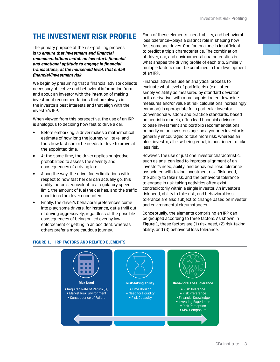# <span id="page-6-0"></span>**THE INVESTMENT RISK PROFILE**

The primary purpose of the risk-profiling process is to *ensure that investment and financial recommendations match an investor's financial and emotional aptitude to engage in financial transactions, at the household level, that entail financial/investment risk*.

We begin by presuming that a financial advisor collects necessary objective and behavioral information from and about an investor with the intention of making investment recommendations that are always in the investor's best interests and that align with the investor's IRP.

When viewed from this perspective, the use of an IRP is analogous to deciding how fast to drive a car:

- Before embarking, a driver makes a mathematical estimate of how long the journey will take, and thus how fast she or he needs to drive to arrive at the appointed time.
- At the same time, the driver applies subjective probabilities to assess the severity and consequences of arriving late.
- Along the way, the driver faces limitations with respect to how fast her car can actually go; this ability factor is equivalent to a regulatory speed limit, the amount of fuel the car has, and the traffic conditions the driver encounters.
- Finally, the driver's behavioral preferences come into play; some drivers, for instance, get a thrill out of driving aggressively, regardless of the possible consequences of being pulled over by law enforcement or getting in an accident, whereas others prefer a more cautious journey.

Each of these elements—need, ability, and behavioral loss tolerance—plays a distinct role in shaping how fast someone drives. One factor alone is insufficient to predict a trip's characteristics. The combination of driver, car, and environmental characteristics is what shapes the driving profile of each trip. Similarly, multiple factors must be combined in the development of an IRP.

Financial advisors use an analytical process to evaluate what level of portfolio risk (e.g., often simply volatility as measured by standard deviation or its derivative, with more sophisticated downside measures and/or value at risk calculations increasingly common) is appropriate for a particular investor. Conventional wisdom and practice standards, based on heuristic models, often lead financial advisors to base investment and portfolio recommendations primarily on an investor's age, so a younger investor is generally encouraged to take more risk, whereas an older investor, all else being equal, is positioned to take less risk.

However, the use of just one investor characteristic, such as age, can lead to improper alignment of an investor's need, ability, and behavioral loss tolerance associated with taking investment risk. Risk need, the ability to take risk, and the behavioral tolerance to engage in risk-taking activities often exist contradictorily within a single investor. An investor's risk need, ability to take risk, and behavioral loss tolerance are also subject to change based on investor and environmental circumstances.

Conceptually, the elements comprising an IRP can be grouped according to three factors. As shown in **Figure 1**, these factors are (1) risk need, (2) risk-taking ability, and (3) behavioral loss tolerance.



#### **FIGURE 1. IRP FACTORS AND RELATED ELEMENTS**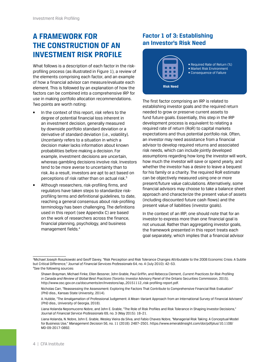# <span id="page-7-0"></span>**A FRAMEWORK FOR THE CONSTRUCTION OF AN INVESTMENT RISK PROFILE**

What follows is a description of each factor in the riskprofiling process (as illustrated in Figure 1), a review of the elements comprising each factor, and an example of how a financial advisor can measure/evaluate each element. This is followed by an explanation of how the factors can be combined into a comprehensive IRP for use in making portfolio allocation recommendations. Two points are worth noting:

- In the context of this report, *risk* refers to the degree of potential financial loss inherent in an investment decision, generally measured by downside portfolio standard deviation or a derivative of standard deviation (i.e., volatility). *Uncertainty* refers to a situation in which a decision maker lacks information about known probabilities before making a decision. For example, investment decisions are uncertain, whereas gambling decisions involve risk. Investors tend to be more averse to uncertainty than to risk. As a result, investors are apt to act based on perceptions of risk rather than on actual risk.3
- Although researchers, risk-profiling firms, and regulators have taken steps to standardize riskprofiling terms and definitional guidelines, to date, reaching a general consensus about risk-profiling terminology has been challenging. The definitions used in this report (see Appendix C) are based on the work of researchers across the finance, financial planning, psychology, and business management fields.4

#### **Factor 1 of 3: Establishing an Investor's Risk Need**



The first factor comprising an IRP is related to establishing investor goals and the required return needed to grow or preserve current assets to fund future goals. Essentially, this step in the IRP development process is equivalent to relating a required rate of return (RoR) to capital markets expectations and thus potential portfolio risk. Often, an investor may need assistance from a financial advisor to develop required returns and associated risk needs, which can include jointly developed assumptions regarding how long the investor will work, how much the investor will save or spend yearly, and whether the investor has a desire to leave a bequest for his family or a charity. The required RoR estimate can be objectively measured using one or more present/future value calculations. Alternatively, some financial advisors may choose to take a balance sheet approach and characterize the present value of assets (including discounted future cash flows) and the present value of liabilities (investor goals).

In the context of an IRP, one should note that for an investor to express more than one financial goal is not unusual. Rather than aggregating investor goals, the framework presented in this report treats each goal separately, which implies that a financial advisor

<sup>3</sup> Michael Joseph Roszkowski and Geoff Davey, "Risk Perception and Risk Tolerance Changes Attributable to the 2008 Economic Crisis: A Subtle but Critical Difference," *Journal of Financial Services Professionals* 64, no. 4 (July 2010): 42–53. 4 See the following sources:

Shawn Brayman, Michael Finke, Ellen Bessner, John Grable, Paul Griffin, and Rebecca Clement, *Current Practices for Risk Profiling in Canada and Review of Global Best Practices* (Toronto: Investor Advisory Panel of the Ontario Securities Commission, 2015). [http://www.osc.gov.on.ca/documents/en/Investors/iap\\_20151112\\_risk-profiling-report.pdf](http://www.osc.gov.on.ca/documents/en/Investors/iap_20151112_risk-profiling-report.pdf).

Nicholas Carr, "Reassessing the Assessment: Exploring the Factors That Contribute to Comprehensive Financial Risk Evaluation" (PhD diss., Kansas State University, 2014).

A. Hubble, "The Amalgamation of Professional Judgement: A Mean–Variant Approach from an International Survey of Financial Advisers" (PhD diss., University of Georgia, 2018).

Liana Holanda Nepomuceno Nobre, and John E. Grable, "The Role of Risk Profiles and Risk Tolerance in Shaping Investor Decisions," *Journal of Financial Service Professionals* 69, no. 3 (May 2015): 18–21.

Liana Holanda, N. Nobre, John E. Grable, Wesley Vieira da Silva, and Fabio Chaves Nobre, "Managerial Risk Taking: A Conceptual Model for Business Use," *Management Decision* 56, no. 11 (2018): 2487–2501. [https://www.emeraldinsight.com/doi/pdfplus/10.1108/](https://www.emeraldinsight.com/doi/pdfplus/10.1108/MD-09-2017-0892) [MD-09-2017-0892.](https://www.emeraldinsight.com/doi/pdfplus/10.1108/MD-09-2017-0892)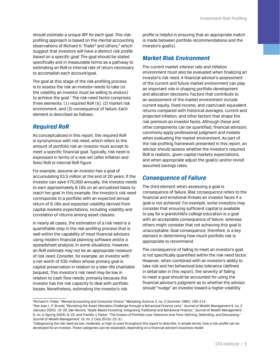should estimate a unique IRP for each goal. This riskprofiling approach is based on the mental accounting observations of Richard H. Thaler<sup>5</sup> and others,<sup>6</sup> which suggest that *investors will have a distinct risk profile based on a specific goal*. The goal should be stated specifically and in measurable terms as a pathway to estimating an RoR or internal rate of return necessary to accomplish each account/goal.

The goal at this stage of the risk-profiling process is to assess the risk an investor needs to take (or the volatility an investor must be willing to endure) to achieve the goal.<sup>7</sup> The risk-need factor comprises three elements: (1) required RoR (%), (2) market risk environment, and (3) consequence of failure. Each element is described as follows:

#### *Required RoR*

As conceptualized in this report, the *required RoR* is synonymous with risk need, which refers to the amount of portfolio risk an investor must accept to meet a specific financial goal. Typically, risk need is expressed in terms of a real net (after inflation and fees) RoR or internal RoR figure.

For example, assume an investor has a goal of accumulating \$3.5 million at the end of 20 years. If the investor can save \$75,000 annually, the investor needs to earn approximately 8.18% on an annualized basis to reach her goal. In this example, the investor's risk need corresponds to a portfolio with an expected annual return of 8.18% and expected volatility derived from capital markets expectations, including volatility and correlation of returns among asset classes.

In nearly all cases, the estimation of a risk need is a quantifiable step in the risk-profiling process that is well within the capability of most financial advisors using modern financial planning software and/or a spreadsheet analysis. In some situations, however, an RoR estimate may not be an appropriate measure of risk need. Consider, for example, an investor with a net worth of \$35 million whose primary goal is capital preservation in relation to a later-life charitable bequest. This investor's risk need may be low in relation to cash flow needs, primarily because the investor has the risk capacity to deal with portfolio losses. Nonetheless, estimating the investor's risk

profile is helpful in ensuring that an appropriate match is made between portfolio recommendations and the investor's goal(s).

#### *Market Risk Environment*

The current market *interest rate and inflation environment* must also be evaluated when finalizing an investor's risk need. A financial advisor's assessment of the current and future market environment can play an important role in shaping portfolio development and allocation decisions. Factors that contribute to an assessment of the market environment include current equity, fixed income, and cash/cash equivalent returns compared with historical averages, current and projected inflation, and other factors that shape the risk premium an investor faces. Although these and other components can be quantified, financial advisors commonly apply professional judgment and models when evaluating the market environment. As part of the risk-profiling framework presented in this report, an advisor should assess whether the investor's required RoR is realistic, given capital markets expectations, and when appropriate adjust the goal(s) and/or revisit assumed savings rates.

#### *Consequence of Failure*

The third element when assessing a goal is consequence of failure. *Risk consequence* refers to the financial and emotional threats an investor faces if a goal is not achieved. For example, some investors may consider that ensuring sufficient capital is available to pay for a grandchild's college education is a goal with an acceptable consequence of failure, whereas others might consider that not achieving this goal is unacceptable. Goal consequence, therefore, is a key element in determining how much portfolio risk is appropriate to recommend.

The consequence of failing to meet an investor's goal is not specifically quantified within the risk-need factor. However, when combined with an investor's ability to take risk and her behavioral loss tolerance (defined in detail later in this report), the severity of failing to meet a goal should be accounted for using the financial advisor's judgment as to whether the advisor should "nudge" an investor toward a higher volatility

<sup>5</sup> Richard H. Thaler, "Mental Accounting and Consumer Choice," *Marketing Science* 4, no. 3 (Summer 1985): 199–214.

<sup>6</sup> See Jean L. P. Brunel, "Revisiting the Asset Allocation Challenge through a Behavioral Finance Lens," *Journal of Wealth Management* 6, no. 2 (January 2003): 10–20; Dan Nevins, "Goals-Based Investing: Integrating Traditional and Behavioral Finance," *Journal of Wealth Management* 6, no. 4 (Spring 2004): 8–23; and Franklin J. Parker, "The Erosion of Portfolio Loss Tolerance over Time: Defining, Defending, and Discussing," *Journal of Wealth Management* 19, no. 2 (July 2016): 23–31.

<sup>7</sup> Categorizing the risk need as low, moderate, or high is used throughout this report to describe, in simple terms, how a risk profile can be developed for an investor. These categories can be expanded, depending on a financial advisor's business model.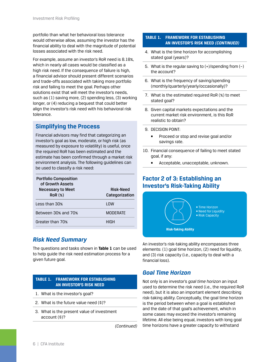<span id="page-9-0"></span>portfolio than what her behavioral loss tolerance would otherwise allow, assuming the investor has the financial ability to deal with the magnitude of potential losses associated with the risk need.

For example, assume an investor's RoR need is 8.18%, which in nearly all cases would be classified as a high risk need. If the consequence of failure is high, a financial advisor should present different scenarios and trade-offs associated with taking more portfolio risk and failing to meet the goal. Perhaps other solutions exist that will meet the investor's needs, such as (1) saving more, (2) spending less, (3) working longer, or (4) reducing a bequest that could better align the investor's risk need with his behavioral risk tolerance.

#### **Simplifying the Process**

Financial advisors may find that categorizing an investor's goal as low, moderate, or high risk (as measured by exposure to volatility) is useful, once the required RoR has been estimated and the estimate has been confirmed through a market risk environment analysis. The following guidelines can be used to classify a risk need:

| <b>Portfolio Composition</b><br>of Growth Assets<br><b>Necessary to Meet</b><br>ROR(%) | Risk-Need<br>Categorization |
|----------------------------------------------------------------------------------------|-----------------------------|
| Less than 30%                                                                          | I OW                        |
| Between 30% and 70%                                                                    | <b>MODERATE</b>             |
| Greater than 70%                                                                       | HIGH                        |

#### *Risk Need Summary*

The questions and tasks shown in **Table 1** can be used to help guide the risk need estimation process for a given future goal.

#### **TABLE 1. FRAMEWORK FOR ESTABLISHING AN INVESTOR'S RISK NEED**

- 1. What is the investor's goal?
- 2. What is the future value need (\$)?
- 3. What is the present value of investment account (\$)?

*(Continued)*

#### **TABLE 1. FRAMEWORK FOR ESTABLISHING AN INVESTOR'S RISK NEED** *(CONTINUED)*

- 4. What is the time horizon for accomplishing stated goal (years)?
- 5. What is the regular saving to  $(+)/$ spending from  $(-)$ the account?
- 6. What is the frequency of saving/spending (monthly/quarterly/yearly/occasionally)?
- 7. What is the estimated required RoR (%) to meet stated goal?
- 8. Given capital markets expectations and the current market risk environment, is this RoR realistic to obtain?
- 9. DECISION POINT:
	- Proceed or stop and revise goal and/or savings rate.
- 10. Financial consequence of failing to meet stated goal, if any:
	- Acceptable, unacceptable, unknown.

#### **Factor 2 of 3: Establishing an Investor's Risk-Taking Ability**



An investor's risk-taking ability encompasses three elements: (1) goal time horizon, (2) need for liquidity, and (3) risk capacity (i.e., capacity to deal with a financial loss).

#### *Goal Time Horizon*

Not only is an investor's *goal time horizon* an input used to determine the risk need (i.e., the required RoR need), but it is also an important element describing risk-taking ability. Conceptually, the goal time horizon is the period between when a goal is established and the date of that goal's achievement, which in some cases may exceed the investor's remaining lifetime. All else being equal, investors with long goal time horizons have a greater capacity to withstand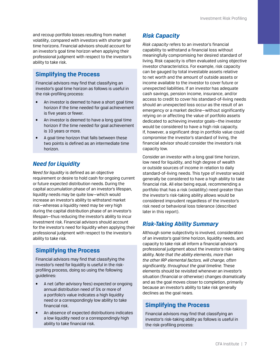and recoup portfolio losses resulting from market volatility, compared with investors with shorter goal time horizons. Financial advisors should account for an investor's goal time horizon when applying their professional judgment with respect to the investor's ability to take risk.

#### **Simplifying the Process**

Financial advisors may find that classifying an investor's goal time horizon as follows is useful in the risk-profiling process:

- An investor is deemed to have a short goal time horizon if the time needed for goal achievement is five years or fewer.
- An investor is deemed to have a long goal time horizon if the time needed for goal achievement is 10 years or more.
- A goal time horizon that falls between these two points is defined as an intermediate time horizon.

### *Need for Liquidity*

*Need for liquidity* is defined as an objective requirement or desire to hold cash for ongoing current or future expected distribution needs. During the capital accumulation phase of an investor's lifespan, liquidity needs may be quite low—which would increase an investor's ability to withstand market risk—whereas a liquidity need may be very high during the capital distribution phase of an investor's lifespan—thus reducing the investor's ability to incur investment risk. Financial advisors should account for the investor's need for liquidity when applying their professional judgment with respect to the investor's ability to take risk.

### **Simplifying the Process**

Financial advisors may find that classifying the investor's need for liquidity is useful in the riskprofiling process, doing so using the following guidelines:

- A net (after advisory fees) expected or ongoing annual distribution need of 5% or more of a portfolio's value indicates a high liquidity need or a correspondingly low ability to take financial risk.
- An absence of expected distributions indicates a low liquidity need or a correspondingly high ability to take financial risk.

### *Risk Capacity*

*Risk capacity* refers to an investor's financial capability to withstand a financial loss without meaningfully compromising her desired standard of living. Risk capacity is often evaluated using objective investor characteristics. For example, risk capacity can be gauged by total investable assets relative to net worth and the amount of outside assets or income available to the investor to cover future or unexpected liabilities. If an investor has adequate cash savings, pension income, insurance, and/or access to credit to cover his standard-of-living needs should an unexpected loss occur as the result of an emergency or a market decline—without significantly relying on or affecting the value of portfolio assets dedicated to achieving investor goals—the investor would be considered to have a high risk capacity. If, however, a significant drop in portfolio value could compromise the investor's standard of living, the financial advisor should consider the investor's risk capacity low.

Consider an investor with a long goal time horizon, low need for liquidity, and high degree of wealth or outside sources of income in relation to daily standard-of-living needs. This type of investor would generally be considered to have a high ability to take financial risk. All else being equal, recommending a portfolio that has a risk (volatility) need greater than the investor's risk-taking ability allows would be considered imprudent regardless of the investor's risk need or behavioral loss tolerance (described later in this report).

### *Risk-Taking Ability Summary*

Although some subjectivity is involved, consideration of an investor's goal time horizon, liquidity needs, and capacity to take risk all inform a financial advisor's professional judgment about the investor's risk-taking ability. *Note that the ability elements, more than the other IRP elemental factors, will change, often significantly, throughout the goal timeline.* These elements should be revisited whenever an investor's situation (financial or otherwise) changes dramatically and as the goal moves closer to completion, primarily because an investor's ability to take risk generally declines as the goal nears.

#### **Simplifying the Process**

Financial advisors may find that classifying an investor's risk-taking ability as follows is useful in the risk-profiling process: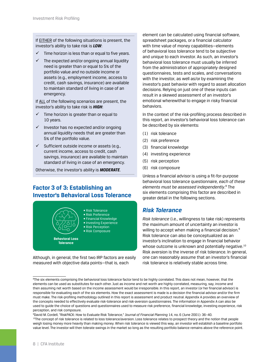<span id="page-11-0"></span>If **EITHER** of the following situations is present, the investor's ability to take risk is *LOW*:

- $\checkmark$  Time horizon is less than or equal to five years.
- $\checkmark$  The expected and/or ongoing annual liquidity need is greater than or equal to 5% of the portfolio value *and* no outside income or assets (e.g., employment income, access to credit, cash savings, insurance) are available to maintain standard of living in case of an emergency.

If ALL of the following scenarios are present, the investor's ability to take risk is *HIGH*:

- $\checkmark$  Time horizon is greater than or equal to 10 years.
- $\checkmark$  Investor has no expected and/or ongoing annual liquidity needs that are greater than 5% of the portfolio value.
- $\checkmark$  Sufficient outside income or assets (e.g., current income, access to credit, cash savings, insurance) are available to maintain standard of living in case of an emergency.

Otherwise, the investor's ability is *MODERATE*.

#### **Factor 3 of 3: Establishing an Investor's Behavioral Loss Tolerance**



Although, in general, the first two IRP factors are easily measured with objective data points—that is, each

element can be calculated using financial software, spreadsheet packages, or a financial calculator with time value of money capabilities—elements of behavioral loss tolerance tend to be subjective and unique to each investor. As such, an investor's behavioral loss tolerance must usually be inferred from the administration of appropriately designed questionnaires, tests and scales, and conversations with the investor, as well as/or by examining the investor's past behavior with regard to asset allocation decisions. Relying on just one of these inputs can result in a skewed assessment of an investor's emotional wherewithal to engage in risky financial behaviors.

In the context of the risk-profiling process described in this report, an investor's behavioral loss tolerance can be described by six elements:

- (1) risk tolerance
- (2) risk preference
- (3) financial knowledge
- (4) investing experience
- (5) risk perception
- (6) risk composure

Unless a financial advisor is using a fit-for-purpose behavioral loss tolerance questionnaire, *each of these elements must be assessed independently*. 8 The six elements comprising this factor are described in greater detail in the following sections.

#### *Risk Tolerance*

*Risk tolerance* (i.e., willingness to take risk) represents the maximum amount of uncertainty an investor is willing to accept when making a financial decision.<sup>9</sup> Risk tolerance can also be conceptualized as an investor's inclination to engage in financial behavior whose outcome is unknown and potentially negative.<sup>10</sup> Risk aversion is the inverse of risk tolerance. In general, one can reasonably assume that an investor's financial risk tolerance is relatively stable across time.

<sup>&</sup>lt;sup>8</sup>The six elements comprising the behavioral loss tolerance factor tend to be highly correlated. This does not mean, however, that the elements can be used as substitutes for each other. Just as income and net worth are highly correlated, measuring, say, income and then assuming net worth based on the income assessment would be irresponsible. In this report, an investor (or her financial advisor) is responsible for evaluating each of the six elements. How the exact assessment is made is a decision the financial advisor and/or the firm must make. The risk-profiling methodology outlined in this report is assessment and product neutral. Appendix A provides an overview of the concepts needed to effectively evaluate risk-tolerance and risk-aversion questionnaires. The information in Appendix A can also be used to guide the choice of questions and questionnaires used to measure risk preference, financial knowledge, investing experience, risk perception, and risk composure.

<sup>9</sup> David M. Cordell, "RiskPACK: How to Evaluate Risk Tolerance," *Journal of Financial Planning* 14, no. 6 (June 2001): 36–40.

<sup>&</sup>lt;sup>10</sup>The concept of risk tolerance is related to loss tolerance/aversion. Loss tolerance relates to prospect theory and the notion that people weigh losing money more heavily than making money. When risk tolerance is viewed this way, an investor will establish a baseline portfolio value level. The investor will then tolerate swings in the market so long as the resulting portfolio balance remains above the reference point.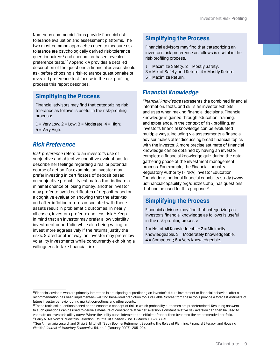Numerous commercial firms provide financial risktolerance evaluation and assessment platforms. The two most common approaches used to measure risk tolerance are psychologically derived risk-tolerance questionnaires $11$  and economics-based revealed preference tests.12 Appendix A provides a detailed description of the questions a financial advisor should ask before choosing a risk-tolerance questionnaire or revealed preference test for use in the risk-profiling process this report describes.

#### **Simplifying the Process**

Financial advisors may find that categorizing risk tolerance as follows is useful in the risk-profiling process:

 $1 =$  Very Low;  $2 =$  Low;  $3 =$  Moderate;  $4 =$  High; 5 = Very High.

#### *Risk Preference*

*Risk preference* refers to an investor's use of subjective and objective cognitive evaluations to describe her feelings regarding a real or potential course of action. For example, an investor may prefer investing in certificates of deposit based on subjective probability estimates that indicate a minimal chance of losing money; another investor may prefer to avoid certificates of deposit based on a cognitive evaluation showing that the after-tax and after-inflation returns associated with these assets result in problematic outcomes. In nearly all cases, investors prefer taking less risk.<sup>13</sup> Keep in mind that an investor may prefer a low volatility investment or portfolio while also being willing to invest more aggressively if the returns justify the risks. Stated another way, an investor may prefer low volatility investments while concurrently exhibiting a willingness to take financial risk.

#### **Simplifying the Process**

Financial advisors may find that categorizing an investor's risk preference as follows is useful in the risk-profiling process:

- 1 = Maximize Safety; 2 = Mostly Safety;
- $3$  = Mix of Safety and Return;  $4$  = Mostly Return;
- 5 = Maximize Return.

#### *Financial Knowledge*

*Financial knowledge* represents the combined financial information, facts, and skills an investor exhibits and uses when making financial decisions. Financial knowledge is gained through education, training, and experience. In the context of risk profiling, an investor's financial knowledge can be evaluated multiple ways, including via assessments a financial advisor makes after discussing broad financial topics with the investor. A more precise estimate of financial knowledge can be obtained by having an investor complete a financial knowledge quiz during the datagathering phase of the investment management process. For example, the Financial Industry Regulatory Authority (FINRA) Investor Education Foundation's national financial capability study [\(www.](http://www.usfinancialcapability.org/quizzes.php) [usfinancialcapability.org/quizzes.php](http://www.usfinancialcapability.org/quizzes.php)) has questions that can be used for this purpose. $14$ 

#### **Simplifying the Process**

Financial advisors may find that categorizing an investor's financial knowledge as follows is useful in the risk-profiling process:

 $1 =$  Not at All Knowledgeable;  $2 =$  Minimally Knowledgeable; 3 = Moderately Knowledgeable; 4 = Competent; 5 = Very Knowledgeable.

<sup>12</sup>These tools ask questions based on the economic concept of risk in which probability outcomes are predetermined. Resulting answers to such questions can be used to derive a measure of constant relative risk aversion. Constant relative risk aversion can then be used to estimate an investor's utility curve. Where the utility curve intersects the efficient frontier then becomes the recommended portfolio. 13Harry M. Markowitz, "Portfolio Selection," *Journal of Finance* 7, no. 1 (March 1952): 77–91.

<sup>11</sup>Financial advisors who are primarily interested in anticipating or predicting an investor's future investment or financial behavior—after a recommendation has been implemented—will find behavioral prediction tools valuable. Scores from these tools provide a forecast estimate of future investor behavior during market corrections and other events.

<sup>&</sup>lt;sup>14</sup>See Annamaria Lusardi and Olivia S. Mitchell, "Baby Boomer Retirement Security: The Roles of Planning, Financial Literacy, and Housing Wealth," *Journal of Monetary Economics* 54, no. 1 (January 2007): 205–224.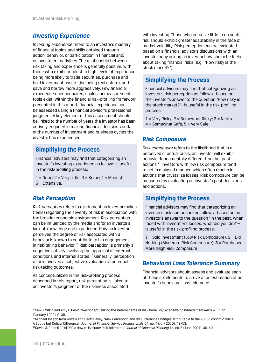#### *Investing Experience*

*Investing experience* refers to an investor's mastery of financial topics and skills obtained through action, behavior, or participation in financial and/ or investment activities. The relationship between risk taking and experience is generally positive, with those who exhibit modest to high levels of experience being more likely to trade securities, purchase and hold investment assets (including real estate), and save and borrow more aggressively. Few financial experience questionnaires, scales, or measurement tools exist. Within the financial risk-profiling framework presented in this report, financial experience can be assessed using a financial advisor's professional judgment. A key element of this assessment should be linked to the number of years the investor has been actively engaged in making financial decisions and/ or the number of investment and business cycles the investor has experienced.

#### **Simplifying the Process**

Financial advisors may find that categorizing an investor's investing experience as follows is useful in the risk-profiling process:

 $1 =$  None;  $2 =$  Very Little;  $3 =$  Some;  $4 =$  Modest; 5 = Extensive.

#### *Risk Perception*

*Risk perception* refers to a judgment an investor makes (feels) regarding the severity of risk in association with the broader economic environment. Risk perception can be influenced by the media and/or an investor's lack of knowledge and experience. How an investor perceives the degree of risk associated with a behavior is known to contribute to his engagement in risk-taking behavior.<sup>15</sup> Risk perception is primarily a cognitive activity involving the appraisal of external conditions and internal states.16 Generally, perception of risk involves a subjective evaluation of potential risk-taking outcomes.

As conceptualized in the risk-profiling process described in this report, risk perception is linked to an investor's judgment of the riskiness associated

with investing. Those who perceive little to no such risk should exhibit greater adaptability in the face of market volatility. Risk perception can be evaluated based on a financial advisor's discussions with an investor or by asking an investor how she or he feels about taking financial risks (e.g., "How risky is the stock market?").

#### **Simplifying the Process**

Financial advisors may find that categorizing an investor's risk perception as follows—based on the investor's answer to the question "How risky is the stock market?"—is useful in the risk-profiling process:

 $1 =$  Very Risky;  $2 =$  Somewhat Risky;  $3 =$  Neutral; 4 = Somewhat Safe; 5 = Very Safe.

#### *Risk Composure*

*Risk composure* refers to the likelihood that in a perceived or actual crisis, an investor will exhibit behavior fundamentally different from her past actions.17 Investors with low risk composure tend to act in a biased manner, which often results in actions that crystalize losses. Risk composure can be measured by evaluating an investor's past decisions and actions.

#### **Simplifying the Process**

Financial advisors may find that categorizing an investor's risk composure as follows—based on an investor's answer to the question "In the past, when faced with investment losses, what did you do?" is useful in the risk-profiling process:

1 = Sold Investment (Low Risk Composure); 3 = Did Nothing (Moderate Risk Composure); 5 = Purchased More (High Risk Composure).

#### *Behavioral Loss Tolerance Summary*

Financial advisors should assess and evaluate each of these six elements to arrive at an estimation of an investor's behavioral loss tolerance.

<sup>15</sup>Sim B. Sitkin and Amy L. Pablo, "Reconceptualizing the Determinants of Risk Behavior," *Academy of Management Review* 17, no. 1 (January 1992): 9–38.

<sup>16</sup>Michael Joseph Roszkowski and Geoff Davey, "Risk Perception and Risk Tolerance Changes Attributable to the 2008 Economic Crisis: A Subtle but Critical Difference," *Journal of Financial Service Professionals* 64, no. 4 (July 2010): 42–53.

<sup>17</sup>David M. Cordell, "RiskPACK: How to Evaluate Risk Tolerance," *Journal of Financial Planning* 14, no. 6 (June 2001): 36–40.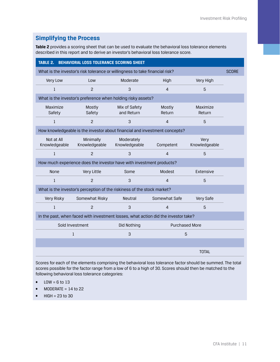#### **Simplifying the Process**

**Table 2** provides a scoring sheet that can be used to evaluate the behavioral loss tolerance elements described in this report and to derive an investor's behavioral loss tolerance score.

| <b>BEHAVIORAL LOSS TOLERANCE SCORING SHEET</b><br>TABLE 2.                         |                                                                            |                             |                  |                       |  |  |  |
|------------------------------------------------------------------------------------|----------------------------------------------------------------------------|-----------------------------|------------------|-----------------------|--|--|--|
| What is the investor's risk tolerance or willingness to take financial risk?       |                                                                            |                             |                  |                       |  |  |  |
| Very Low                                                                           | Low                                                                        | Moderate                    | High             | Very High             |  |  |  |
| 1                                                                                  | 2                                                                          | 3                           | $\overline{4}$   | 5                     |  |  |  |
|                                                                                    | What is the investor's preference when holding risky assets?               |                             |                  |                       |  |  |  |
| Maximize<br>Safety                                                                 | Mostly<br>Safety                                                           | Mix of Safety<br>and Return | Mostly<br>Return | Maximize<br>Return    |  |  |  |
| $\mathbf{1}$                                                                       | 2                                                                          | 3                           | $\overline{4}$   | 5                     |  |  |  |
|                                                                                    | How knowledgeable is the investor about financial and investment concepts? |                             |                  |                       |  |  |  |
| Not at All<br>Knowledgeable                                                        | Minimally<br>Knowledgeable                                                 | Moderately<br>Knowledgeable | Competent        | Very<br>Knowledgeable |  |  |  |
| $\mathbf{1}$                                                                       | $\overline{c}$                                                             | 3                           | $\overline{4}$   | 5                     |  |  |  |
|                                                                                    | How much experience does the investor have with investment products?       |                             |                  |                       |  |  |  |
| <b>None</b>                                                                        | Very Little                                                                | Some                        | Modest           | Extensive             |  |  |  |
| $\mathbf{1}$                                                                       | $\overline{c}$                                                             | 3                           | $\overline{4}$   | 5                     |  |  |  |
|                                                                                    | What is the investor's perception of the riskiness of the stock market?    |                             |                  |                       |  |  |  |
| Very Risky                                                                         | Somewhat Risky                                                             | <b>Neutral</b>              | Somewhat Safe    | Very Safe             |  |  |  |
| $\mathbf{1}$                                                                       | $\overline{c}$                                                             | 3                           | $\overline{4}$   | 5                     |  |  |  |
| In the past, when faced with investment losses, what action did the investor take? |                                                                            |                             |                  |                       |  |  |  |
| Sold Investment<br>Did Nothing<br><b>Purchased More</b>                            |                                                                            |                             |                  |                       |  |  |  |
| 3<br>$\mathbf{1}$<br>5                                                             |                                                                            |                             |                  |                       |  |  |  |
|                                                                                    |                                                                            |                             |                  |                       |  |  |  |
|                                                                                    |                                                                            |                             |                  | <b>TOTAL</b>          |  |  |  |

Scores for each of the elements comprising the behavioral loss tolerance factor should be summed. The total scores possible for the factor range from a low of 6 to a high of 30. Scores should then be matched to the following behavioral loss tolerance categories:

- $\bullet$  LOW = 6 to 13
- $\bullet$  MODERATE = 14 to 22
- $\bullet$  HIGH = 23 to 30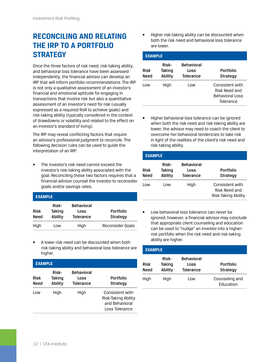# <span id="page-15-0"></span>**RECONCILING AND RELATING THE IRP TO A PORTFOLIO STRATEGY**

Once the three factors of risk need, risk-taking ability, and behavioral loss tolerance have been assessed independently, the financial advisor can develop an IRP that will inform portfolio recommendations. The IRP is not only a qualitative assessment of an investor's financial and emotional aptitude for engaging in transactions that involve risk but also a quantitative assessment of an investor's need for risk (usually expressed as a required RoR to achieve goals) and risk-taking ability (typically considered in the context of drawdowns or volatility and related to the effect on an investor's standard of living).

The IRP may reveal conflicting factors that require an advisor's professional judgment to reconcile. The following decision rules can be used to guide the interpretation of an IRP:

• The investor's risk need cannot exceed the investor's risk-taking ability associated with the goal. Reconciling these two factors requires that a financial advisor counsel the investor to reconsider goals and/or savings rates.

| <b>EXAMPLE</b>      |                            |                                               |                                     |  |  |  |  |
|---------------------|----------------------------|-----------------------------------------------|-------------------------------------|--|--|--|--|
| <b>Risk</b><br>Need | Risk-<br>Taking<br>Ability | <b>Behavioral</b><br>Loss<br><b>Tolerance</b> | <b>Portfolio</b><br><b>Strategy</b> |  |  |  |  |
| High                | l ow                       | High                                          | Reconsider Goals                    |  |  |  |  |

• A lower risk need can be discounted when both risk-taking ability and behavioral loss tolerance are higher.

| <b>EXAMPLE</b> |                                   |                                               |                                                                            |  |  |  |  |
|----------------|-----------------------------------|-----------------------------------------------|----------------------------------------------------------------------------|--|--|--|--|
| Risk<br>Need   | <b>Risk-</b><br>Taking<br>Ability | <b>Behavioral</b><br>Loss<br><b>Tolerance</b> | Portfolio<br>Strategy                                                      |  |  |  |  |
| Low            | High                              | High                                          | Consistent with<br>Risk-Taking Ability<br>and Behavioral<br>Loss Tolerance |  |  |  |  |

• Higher risk-taking ability can be discounted when both the risk need and behavioral loss tolerance are lower.

|                     | <b>EXAMPLE</b>             |                                        |                                                                  |  |  |  |  |  |
|---------------------|----------------------------|----------------------------------------|------------------------------------------------------------------|--|--|--|--|--|
| <b>Risk</b><br>Need | Risk-<br>Taking<br>Ability | <b>Behavioral</b><br>Loss<br>Tolerance | Portfolio<br>Strategy                                            |  |  |  |  |  |
| l ow                | High                       | Low                                    | Consistent with<br>Risk Need and<br>Behavioral Loss<br>Tolerance |  |  |  |  |  |

• Higher behavioral loss tolerance can be ignored when both the risk need and risk-taking ability are lower; the advisor may need to coach the client to overcome her behavioral tendencies to take risk in light of the realities of the client's risk need and risk-taking ability.

|                     | <b>EXAMPLE</b>             |                                               |                                                         |  |  |  |  |
|---------------------|----------------------------|-----------------------------------------------|---------------------------------------------------------|--|--|--|--|
| <b>Risk</b><br>Need | Risk-<br>Taking<br>Ability | <b>Behavioral</b><br>Loss<br><b>Tolerance</b> | Portfolio<br><b>Strategy</b>                            |  |  |  |  |
| l ow                | l ow                       | High                                          | Consistent with<br>Risk Need and<br>Risk-Taking Ability |  |  |  |  |

• Low behavioral loss tolerance can *never* be ignored; however, a financial advisor may conclude that appropriate client counseling and education can be used to "nudge" an investor into a higherrisk portfolio when the risk need and risk-taking ability are higher.

| <b>EXAMPLE</b> |                                   |                                               |                                     |  |  |  |  |
|----------------|-----------------------------------|-----------------------------------------------|-------------------------------------|--|--|--|--|
| Risk<br>Need   | <b>Risk-</b><br>Taking<br>Ability | <b>Behavioral</b><br>Loss<br><b>Tolerance</b> | <b>Portfolio</b><br><b>Strategy</b> |  |  |  |  |
| High           | High                              | Low                                           | Counseling and<br>Education         |  |  |  |  |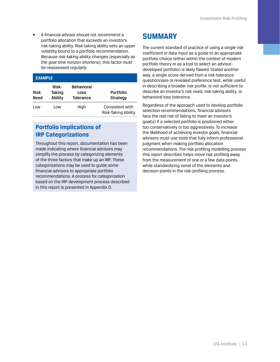<span id="page-16-0"></span>• A financial advisor should not recommend a portfolio allocation that exceeds an investor's risk-taking ability. Risk-taking ability sets an upper volatility bound to a portfolio recommendation. *Because risk-taking ability changes (especially as the goal time horizon shortens), this factor must be reassessed regularly.*

| <b>EXAMPLE</b>      |                            |                                               |                                        |  |  |  |
|---------------------|----------------------------|-----------------------------------------------|----------------------------------------|--|--|--|
| <b>Risk</b><br>Need | Risk-<br>Taking<br>Ability | <b>Behavioral</b><br>Loss<br><b>Tolerance</b> | <b>Portfolio</b><br><b>Strategy</b>    |  |  |  |
| Low                 | Low                        | High                                          | Consistent with<br>Risk-Taking Ability |  |  |  |

### **Portfolio Implications of IRP Categorizations**

Throughout this report, documentation has been made indicating where financial advisors may simplify the process by categorizing elements of the three factors that make up an IRP. These categorizations may be used to guide some financial advisors to appropriate portfolio recommendations. A process for categorization based on the IRP development process described in this report is presented in Appendix D.

### **SUMMARY**

The current standard of practice of using a single risk coefficient or data input as a guide to an appropriate portfolio choice (either within the context of modern portfolio theory or as a tool to select an advisordeveloped portfolio) is likely flawed. Stated another way, a single score derived from a risk-tolerance questionnaire or revealed preference test, while useful in describing a broader risk profile, is not sufficient to describe an investor's risk need, risk-taking ability, or behavioral loss tolerance.

Regardless of the approach used to develop portfolio selection recommendations, financial advisors face the real risk of failing to meet an investor's goal(s) if a selected portfolio is positioned either too conservatively or too aggressively. To increase the likelihood of achieving investor goals, financial advisors must use tools that fully inform professional judgment when making portfolio allocation recommendations. The risk-profiling modelling process this report describes helps move risk profiling away from the measurement of one or a few data points while standardizing some of the elements and decision points in the risk-profiling process.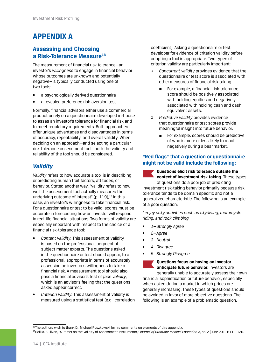## <span id="page-17-0"></span>**APPENDIX A**

#### **Assessing and Choosing a Risk-Tolerance Measure18**

The measurement of financial risk tolerance—an investor's *willingness* to engage in financial behavior whose outcomes are unknown and potentially negative—is typically conducted using one of two tools:

- a psychologically derived questionnaire
- a revealed preference risk-aversion test

Normally, financial advisors either use a commercial product or rely on a questionnaire developed in-house to asses an investor's tolerance for financial risk and to meet regulatory requirements. Both approaches offer unique advantages and disadvantages in terms of accuracy, repeatability, and overall validity. When deciding on an approach—and selecting a particular risk-tolerance assessment tool—both the validity and reliability of the tool should be considered.

#### *Validity*

*Validity* refers to how accurate a tool is in describing or predicting human trait factors, attitudes, or behavior. Stated another way, "validity refers to how well the assessment tool actually measures the underlying outcome of interest" (p.  $119$ ),  $19$  in this case, an investor's willingness to take financial risk. For a questionnaire or test to be valid, scores must be accurate in forecasting how an investor will respond in real-life financial situations. Two forms of validity are especially important with respect to the choice of a financial risk-tolerance tool:

- *Content validity:* This assessment of validity is based on the professional judgment of subject matter experts. The questions asked in the questionnaire or test should appear, to a professional, appropriate in terms of accurately assessing an investor's willingness to take a financial risk. A measurement tool should also pass a financial advisor's test of *face validity*, which is an advisor's feeling that the questions asked appear correct.
- *Criterion validity:* This assessment of validity is measured using a statistical test (e.g., correlation

coefficient). Asking a questionnaire or test developer for evidence of criterion validity before adopting a tool is appropriate. Two types of criterion validity are particularly important:

- *Concurrent validity* provides evidence that the questionnaire or test score is associated with other measures of financial risk taking.
	- For example, a financial risk-tolerance score should be positively associated with holding equities and negatively associated with holding cash and cash equivalent assets.
- *Predictive validity* provides evidence that questionnaire or test scores provide meaningful insight into future behavior.
	- For example, scores should be predictive of who is more or less likely to react negatively during a bear market.

#### **"Red flags" that a question or questionnaire might not be valid include the following:**

**Questions elicit risk tolerance outside the context of investment risk taking.** These types of questions do a poor job of predicting investment risk-taking behavior primarily because risk tolerance tends to be domain specific and not a

generalized characteristic. The following is an example of a poor question:

*I enjoy risky activities such as skydiving, motorcycle riding, and rock climbing.*

- *1—Strongly Agree*
- *2—Agree*
- *3—Neutral*
- *4—Disagree*
- *5—Strongly Disagree*

#### **Questions focus on having an investor**

**anticipate future behavior.** Investors are generally unable to accurately assess their own financial sophistication or future behavior, especially when asked during a market in which prices are generally increasing. These types of questions should be avoided in favor of more objective questions. The following is an example of a problematic question:

<sup>18</sup>The authors wish to thank Dr. Michael Roszkowski for his comments on elements of this appendix.

<sup>19</sup>Gail M. Sullivan, "A Primer on the Validity of Assessment Instruments," *Journal of Graduate Medical Education* 3, no. 2 (June 2011): 119–120.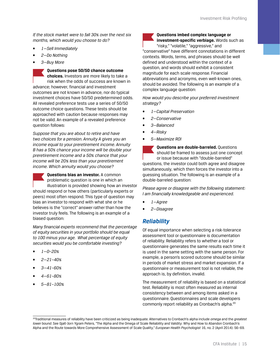*If the stock market were to fall 30% over the next six months, which would you choose to do?*

- *1—Sell Immediately*
- *2—Do Nothing*
- *3—Buy More*

**Questions pose 50/50 chance outcome choices.** Investors are more likely to take a risk when the odds of success are known in advance; however, financial and investment outcomes are not known in advance, nor do typical investment choices have 50/50 predetermined odds. All revealed preference tests use a series of 50/50 outcome choice questions. These tests should be approached with caution because responses may not be valid. An example of a revealed preference question follows:

*Suppose that you are about to retire and have two choices for a pension. Annuity A gives you an income equal to your preretirement income. Annuity B has a 50% chance your income will be double your preretirement income and a 50% chance that your income will be 20% less than your preretirement income. Which annuity would you choose?*

**Questions bias an investor.** A common problematic question is one in which an illustration is provided showing how an investor should respond or how others (particularly experts or peers) most often respond. This type of question may bias an investor to respond with what she or he believes is the "correct" answer rather than how the investor truly feels. The following is an example of a biased question:

*Many financial experts recommend that the percentage of equity securities in your portfolio should be equal to 100 minus your age. What percentage of equity securities would you be comfortable investing?*

- *1—0–20%*
- *2—21–40%*
- *3—41–60%*
- *4—61–80%*
- *5—81–100%*

#### **Questions imbed complex language or**

**investment-specific verbiage.** Words such as "risky," "volatile," "aggressive," and

"conservative" have different connotations in different contexts. Words, terms, and phrases should be well defined and understood within the context of a question, and words should exhibit a consistent magnitude for each scale response. Financial abbreviations and acronyms, even well-known ones, should be avoided. The following is an example of a complex language question:

*How would you describe your preferred investment strategy?*

- *1—Capital Preservation*
- *2—Conservative*
- *3—Balanced*
- *4—Risky*
- *5—Maximize ROI*

**Questions are double-barreled.** Questions should be framed to assess just one concept or issue because with "double-barreled" questions, the investor could both agree and disagree simultaneously, which then forces the investor into a guessing situation. The following is an example of a double-barreled question:

*Please agree or disagree with the following statement: I am financially knowledgeable and experienced.*

- *1—Agree*
- *2—Disagree*

#### *Reliability*

Of equal importance when selecting a risk-tolerance assessment tool or questionnaire is documentation of reliability. Reliability refers to whether a tool or questionnaire generates the same results each time it is used in the same setting with the same person. For example, a person's scored outcome should be similar in periods of market stress and market expansion. If a questionnaire or measurement tool is not reliable, the approach is, by definition, invalid.

The measurement of reliability is based on a statistical test. Reliability is most often measured as internal consistency between and among items asked in a questionnaire. Questionnaires and scale developers commonly report reliability as Cronbach's alpha.<sup>20</sup>

<sup>20</sup>Traditional measures of reliability have been criticized as being inadequate. Alternatives to Cronbach's alpha include *omega* and the *greatest lower bound*. See Gjalt-Jorn Ygram Peters, "The Alpha and the Omega of Scale Reliability and Validity: Why and How to Abandon Cronbach's Alpha and the Route towards More Comprehensive Assessment of Scale Quality," *European Health Psychologist* 16, no. 2 (April 2014): 56–69.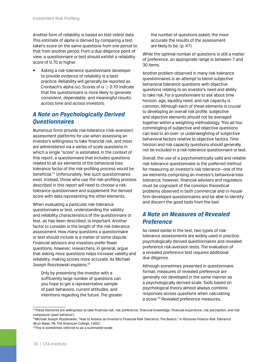Another form of reliability is based on test-retest data. This estimate of *alpha* is derived by comparing a test taker's score on the same questions from one period to that from another period. From a due diligence point of view, a questionnaire or test should exhibit a reliability score of 0.70 or higher.

• Asking a risk-tolerance questionnaire developer to provide evidence of reliability is a best practice. Reliability will generally be reported as Cronbach's alpha ( $\alpha$ ). Scores of  $\alpha$  > 0.70 indicate that the questionnaire is more likely to generate consistent, dependable, and meaningful results across time and across investors.

### *A Note on Psychologically Derived Questionnaires*

Numerous firms provide risk-tolerance (risk-aversion) assessment platforms for use when assessing an investor's willingness to take financial risk, and most are administered via a series of scale questions in which a single "score" is estimated. In the context of this report, a questionnaire that includes questions related to all six elements of the behavioral loss tolerance factor of the risk-profiling process would be beneficial.21 Unfortunately, few such questionnaires exist. Instead, those who use the risk-profiling process described in this report will need to choose a risktolerance questionnaire and supplement the derived score with data representing the other elements.

When evaluating a particular risk-tolerance questionnaire or test, understanding the validity and reliability characteristics of the questionnaire or test, as has been described, is important. Another factor to consider is the length of the risk-tolerance assessment. How many questions a questionnaire or test should include is a matter of some dispute. Financial advisors and investors prefer fewer questions; however, researchers, in general, argue that asking more questions helps increase validity and reliability, making scores more accurate. As Michael Joseph Roszkowski explains,<sup>22</sup>

Only by presenting the investor with a sufficiently large number of questions can you hope to get a representative sample of past behaviors, current attitudes, and intentions regarding the future. The greater

the number of questions asked, the more accurate the results of the assessment are likely to be. (p. 47)

While the optimal number of questions is still a matter of preference, an appropriate range is between 7 and 30 items.

Another problem observed in many risk-tolerance questionnaires is an attempt to blend subjective behavioral tolerance questions with objective questions relating to an investor's need and ability to take risk. For a questionnaire to ask about time horizon, age, liquidity need, and risk capacity is common. Although each of these elements is crucial to developing an overall risk profile, subjective and objective elements should not be averaged together within a weighting methodology. This ad hoc commingling of subjective and objective questions can lead to an over- or underweighting of subjective behavioral factors relative to objective factors. Time horizon and risk capacity questions should generally not be included in a risk-tolerance questionnaire or test.

Overall, the use of a psychometrically valid and reliable risk-tolerance questionnaire is the preferred method for measuring an investor's risk tolerance—one of the six elements comprising an investor's behavioral loss tolerance; however, financial advisors and regulators must be cognizant of the common theoretical problems observed in both commercial and in-house firm-developed questionnaires and be able to identify and discern the good tools from the bad.

### *A Note on Measures of Revealed Preference*

As noted earlier in the text, two types of risktolerance assessments are widely used in practice: psychologically derived questionnaires and revealed preference risk-aversion tests. The evaluation of a revealed preference test requires additional due diligence.

Although sometimes presented in questionnaire format, measures of revealed preference are generally not developed in the same manner as a psychologically derived scale. Tools based on psychological theory almost always combine responses across questions when calculating a score.<sup>23</sup> Revealed preference measures,

<sup>&</sup>lt;sup>21</sup>These elements are willingness to take financial risk, risk preference, financial knowledge, financial experience, risk perception, and risk composure (past behavior).

<sup>22</sup>Michael Joseph Roszkowski, "How to Assess an Investor's Financial Risk Tolerance: The Basics," in *Personal Finance Risk Tolerance* (Bryn Mawr, PA: The American College, 1992).

<sup>&</sup>lt;sup>23</sup>This is sometimes referred to as a summated scale.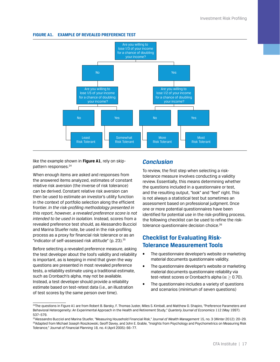#### <span id="page-20-0"></span>**FIGURE A1. EXAMPLE OF REVEALED PREFERENCE TEST**



like the example shown in **Figure A1**, rely on skippattern responses.<sup>24</sup>

When enough items are asked and responses from the answered items analyzed, estimates of constant relative risk aversion (the inverse of risk tolerance) can be derived. Constant relative risk aversion can then be used to estimate an investor's utility function in the context of portfolio selection along the efficient frontier. *In the risk-profiling methodology presented in this report, however, a revealed preference score is not intended to be used in isolation.* Instead, scores from a revealed preference test should, as Alessandro Bucciol and Marina Stuefer note, be used in the risk-profiling process as a proxy for financial risk tolerance or as an "indicator of self-assessed risk attitude" (p. 23).<sup>25</sup>

Before selecting a revealed preference measure, asking the test developer about the tool's validity and reliability is important, as is keeping in mind that given the way questions are presented in most revealed preference tests, a reliability estimate using a traditional estimate, such as Cronbach's alpha, may not be available. Instead, a test developer should provide a reliability estimate based on test-retest data (i.e., an illustration of test scores by the same person over time).

#### *Conclusion*

To review, the first step when selecting a risktolerance measure involves conducting a validity review. Essentially, this means determining whether the questions included in a questionnaire or test, and the resulting output, "look" and "feel" right. This is not always a statistical test but sometimes an assessment based on professional judgment. Once one or more potential questionnaires have been identified for potential use in the risk-profiling process, the following checklist can be used to refine the risktolerance questionnaire decision choice.<sup>26</sup>

#### **Checklist for Evaluating Risk-Tolerance Measurement Tools**

- The questionnaire developer's website or marketing material documents questionnaire validity.
- The questionnaire developer's website or marketing material documents questionnaire reliability via test-retest scores or Cronbach's alpha ( $\alpha$  > 0.70).
- The questionnaire includes a variety of questions and scenarios (minimum of seven questions)

<sup>&</sup>lt;sup>24</sup>The questions in Figure A1 are from Robert B. Barsky, F. Thomas Juster, Miles S. Kimball, and Matthew D. Shapiro, "Preference Parameters and Behavioral Heterogeneity: An Experimental Approach in the Health and Retirement Study," *Quarterly Journal of Economics* 112 (May 1997): 537–579.

<sup>25</sup>Alessandro Bucciol and Marina Stuefer, "Measuring Household Financial Risk," *Journal of Wealth Management* 15, no. 3 (Winter 2012): 20–29. <sup>26</sup>Adapted from Michael Joseph Roszkowski, Geoff Davey, and John E. Grable, "Insights from Psychology and Psychometrics on Measuring Risk Tolerance," *Journal of Financial Planning* 18, no. 4 (April 2005): 66–77.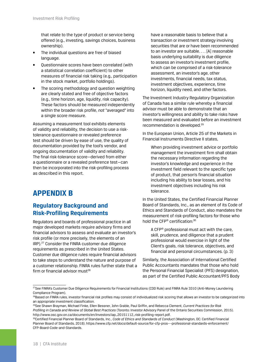<span id="page-21-0"></span>that relate to the type of product or service being offered (e.g., investing, savings choices, business ownership).

- The individual questions are free of biased language.
- Questionnaire scores have been correlated (with a statistical correlation coefficient) to other measures of financial risk taking (e.g., participation in the stock market, portfolio holdings).
- The scoring methodology and question weighting are clearly stated and free of objective factors (e.g., time horizon, age, liquidity, risk capacity). These factors should be measured independently within the broader risk profile, *not* "averaged" into a single score measure.

Assuming a measurement tool exhibits elements of validity and reliability, the decision to use a risktolerance questionnaire or revealed preference test should be driven by ease of use, the quality of documentation provided by the tool's vendor, and ongoing documentation of validity and reliability. The final risk-tolerance score—derived from either a questionnaire or a revealed preference test—can then be incorporated into the risk-profiling process as described in this report.

### **APPENDIX B**

#### **Regulatory Background and Risk-Profiling Requirements**

Regulators and boards of professional practice in all major developed markets require advisory firms and financial advisors to assess and evaluate an investor's risk profile (or more precisely, the elements of an IRP).27 Consider the FINRA customer due diligence requirements as prescribed in the United States. Customer due diligence rules require financial advisors to take steps to understand the nature and purpose of a customer relationship. FINRA rules further state that a firm or financial advisor must $28$ 

have a reasonable basis to believe that a transaction or investment strategy involving securities that are or have been recommended to an investor are suitable. . . . [A] reasonable basis underlying suitability is due diligence to assess an investor's investment profile, which can be comprised of a risk-tolerance assessment, an investor's age, other investments, financial needs, tax status, investment objectives, experience, time horizon, liquidity need, and other factors.

The Investment Industry Regulatory Organization of Canada has a similar rule whereby a financial advisor must be able to demonstrate that an investor's willingness and ability to take risks have been measured and evaluated before an investment recommendation is developed.<sup>29</sup>

In the European Union, Article 25 of the Markets in Financial Instruments Directive II states,

When providing investment advice or portfolio management the investment firm shall obtain the necessary information regarding the investor's knowledge and experience in the investment field relevant to the specific type of product, that person's financial situation including his ability to bear losses, and his investment objectives including his risk tolerance.

In the United States, the Certified Financial Planner Board of Standards, Inc., as an element of its Code of Ethics and Standards of Conduct, also mandates the measurement of risk-profiling factors for those who hold the CFP® certification:30

A CFP® professional must act with the care, skill, prudence, and diligence that a prudent professional would exercise in light of the Client's goals, risk tolerance, objectives, and financial and personal circumstances. (p. 3)

Similarly, the Association of International Certified Public Accountants mandates that those who hold the Personal Financial Specialist (PFS) designation, as part of the Certified Public Accountant/PFS Body

<sup>&</sup>lt;sup>27</sup>See FINRA's Customer Due Diligence Requirements for Financial Institutions (CDD Rule) and FINRA Rule 3310 (Anti-Money Laundering Compliance Program).

<sup>&</sup>lt;sup>28</sup>Based on FINRA rules, investor financial risk profiles may consist of individualized risk scoring that allows an investor to be categorized into an appropriate investment classification.

<sup>29</sup>See Shawn Brayman, Michael Finke, Ellen Bessner, John Grable, Paul Griffin, and Rebecca Clement, *Current Practices for Risk Profiling in Canada and Review of Global Best Practices* (Toronto: Investor Advisory Panel of the Ontario Securities Commission, 2015). [http://www.osc.gov.on.ca/documents/en/Investors/iap\\_20151112\\_risk-profiling-report.pdf](http://www.osc.gov.on.ca/documents/en/Investors/iap_20151112_risk-profiling-report.pdf).

<sup>30</sup>Certified Financial Planner Board of Standards, Inc., *Code of Ethics and Standards of Conduct* (Washington, DC: Certified Financial Planner Board of Standards, 2018). [https://www.cfp.net/docs/default-source/for-cfp-pros---professional-standards-enforcement/](https://www.cfp.net/docs/default-source/for-cfp-pros---professional-standards-enforcement/CFP-Board-Code-and-Standards) [CFP-Board-Code-and-Standards.](https://www.cfp.net/docs/default-source/for-cfp-pros---professional-standards-enforcement/CFP-Board-Code-and-Standards)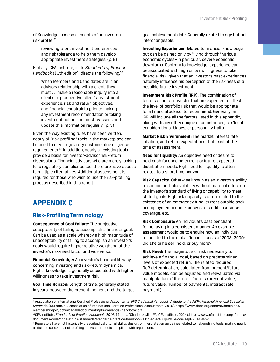<span id="page-22-0"></span>of Knowledge, assess elements of an investor's risk profile, 31

reviewing client investment preferences and risk tolerance to help them develop appropriate investment strategies. (p. 8)

Globally, CFA Institute, in its *Standards of Practice*  Handbook (11th edition), directs the following:<sup>32</sup>

When Members and Candidates are in an advisory relationship with a client, they must . . . make a reasonable inquiry into a client's or prospective client's investment experience, risk and return objectives, and financial constraints prior to making any investment recommendation or taking investment action and must reassess and update this information regularly. (p. 9)

Given the way existing rules have been written, nearly all "risk-profiling" tools in the marketplace can be used to meet regulatory customer due diligence requirements.33 In addition, nearly all existing tools provide a basis for investor–advisor risk–return discussions. Financial advisors who are merely looking for a regulatory compliance tool therefore have access to multiple alternatives. Additional assessment is required for those who wish to use the risk-profiling process described in this report.

### **APPENDIX C**

#### **Risk-Profiling Terminology**

**Consequence of Goal Failure:** The subjective acceptability of failing to accomplish a financial goal. Can be used as a scale whereby a high magnitude of unacceptability of failing to accomplish an investor's goals would require higher relative weighting of the investor's risk-need factor and vice versa.

**Financial Knowledge:** An investor's financial literacy concerning investing and risk–return dynamics. Higher knowledge is generally associated with higher willingness to take investment risk.

**Goal Time Horizon:** Length of time, generally stated in years, between the present moment and the target goal achievement date. Generally related to age but not interchangeable.

**Investing Experience:** Related to financial knowledge but can be gained only by "living through" various economic cycles—in particular, severe economic downturns. Contrary to knowledge, experience can be associated with high or low willingness to take financial risk, given that an investor's past experiences naturally influence his perception of the riskiness of a possible future investment.

**Investment Risk Profile (IRP):** The combination of factors about an investor that are expected to affect the level of portfolio risk that would be appropriate for a financial advisor to recommend. Generally, an IRP will include all the factors listed in this appendix, along with any other unique circumstances, tax/legal considerations, biases, or personality traits.

**Market Risk Environment:** The market interest rate, inflation, and return expectations that exist at the time of assessment.

**Need for Liquidity:** An objective need or desire to hold cash for ongoing current or future expected distribution needs. High need for liquidity is often related to a short time horizon.

**Risk Capacity:** Otherwise known as an investor's ability to sustain portfolio volatility without material effect on the investor's standard of living or capability to meet stated goals. High risk capacity is often related to the existence of an emergency fund, current outside and/ or employment income, access to credit, insurance coverage, etc.

**Risk Composure:** An individual's past penchant for behaving in a consistent manner. An example assessment would be to enquire how an individual responded to the global financial crisis of 2008–2009: Did she or he sell, hold, or buy more?

**Risk Need:** The magnitude of risk necessary to achieve a financial goal, based on predetermined levels of expected return. The related required RoR determination, calculated from present/future value models, can be adjusted and reevaluated via manipulation of the input factors (present value, future value, number of payments, interest rate, payment).

<sup>31</sup>Association of International Certified Professional Accountants, *PFS Credential Handbook: A Guide to the AICPA Personal Financial Specialist Credential* (Durham, NC: Association of International Certified Professional Accountants, 2019). [https://www.aicpa.org/content/dam/aicpa/](https://www.aicpa.org/content/dam/aicpa/membership/join/downloadabledocuments/pfs-credential-handbook.pdf) [membership/join/downloadabledocuments/pfs-credential-handbook.pdf](https://www.aicpa.org/content/dam/aicpa/membership/join/downloadabledocuments/pfs-credential-handbook.pdf).

<sup>32</sup>CFA Institute, *Standards of Practice Handbook, 2014*, 11th ed. (Charlottesville, VA: CFA Institute, 2014). [https://www.cfainstitute.org/-/media/](https://www.cfainstitute.org/-/media/documents/code/code-ethics-standards/standards-practice-handbook-11th-ed-eff-July-2014-corr-sept-2014.ashx) [documents/code/code-ethics-standards/standards-practice-handbook-11th-ed-eff-July-2014-corr-sept-2014.ashx](https://www.cfainstitute.org/-/media/documents/code/code-ethics-standards/standards-practice-handbook-11th-ed-eff-July-2014-corr-sept-2014.ashx).

<sup>33</sup>Regulators have not historically prescribed validity, reliability, design, or interpretation quidelines related to risk-profiling tools, making nearly all risk-tolerance and risk-profiling assessment tools compliant with regulations.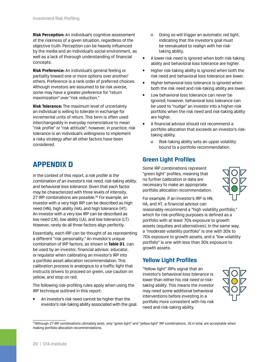<span id="page-23-0"></span>**Risk Perception:** An individual's cognitive assessment of the riskiness of a given situation, regardless of the objective truth. Perception can be heavily influenced by the media and an individual's social environment, as well as a lack of thorough understanding of financial concepts.

**Risk Preference:** An individual's general feeling or partiality toward one or more options over another/ others. Preference is a rank order of preferred choices. Although investors are assumed to be risk averse, some may have a greater preference for "return maximization" over "risk reduction."

**Risk Tolerance:** The maximum level of uncertainty an individual is willing to tolerate in exchange for incremental units of return. This term is often used interchangeably in everyday nomenclature to mean "risk profile" or "risk attitude"; however, in practice, risk tolerance is an individual's willingness to implement a risky strategy after all other factors have been considered.

# **APPENDIX D**

In the context of this report, a *risk profile is the combination of an investor's risk need, risk-taking ability, and behavioral loss tolerance*. Given that each factor may be characterized with three levels of intensity, 27 IRP combinations are possible.<sup>34</sup> For example, an investor with a very high IRP can be described as high need (HN), high ability (HA), and high tolerance (HT). An investor with a very low IRP can be described as low need (LN), low ability (LA), and low tolerance (LT). However, rarely do all three factors align perfectly.

Essentially, each IRP can be thought of as representing a different "risk personality." An investor's unique combination of IRP factors, as shown in **Table D1**, can be used by an investor, financial advisor, educator, or regulator when calibrating an investor's IRP into a portfolio asset allocation recommendation. This calibration process is analogous to a traffic light that instructs drivers to proceed on green, use caution on yellow, and stop on red.

The following risk-profiling rules apply when using the IRP technique outlined in this report:

• An investor's risk need cannot be higher than the investor's risk-taking ability associated with the goal.

- Doing so will trigger an automatic red light, indicating that the investor's goal must be reevaluated to realign with her risktaking ability.
- A lower risk need is ignored when both risk-taking ability and behavioral loss tolerance are higher.
- Higher risk-taking ability is ignored when both the risk need and behavioral loss tolerance are lower.
- Higher behavioral loss tolerance is ignored when both the risk need and risk-taking ability are lower.
- Low behavioral loss tolerance can *never* be ignored; however, behavioral loss tolerance can be used to "nudge" an investor into a higher-risk portfolio when the risk need and risk-taking ability are higher.
- A financial advisor should not recommend a portfolio allocation that exceeds an investor's risktaking ability.
	- Risk-taking ability sets an upper volatility bound to a portfolio recommendation.

### **Green Light Profiles**

Some IRP combinations represent "green light" profiles, meaning that no further calibration or data are necessary to make an appropriate portfolio allocation recommendation.



For example, if an investor's IRP is HN, HA, and HT, a financial advisor can

reasonably recommend a "high volatility portfolio," which for risk-profiling purposes is defined as a portfolio with at least 70% exposure to growth assets (equities and alternatives). In the same way, a "moderate volatility portfolio" is one with 30% to 70% exposure to growth assets, and a "low volatility portfolio" is one with less than 30% exposure to growth assets.

#### **Yellow Light Profiles**

"Yellow light" IRPs signal that an investor's *behavioral loss tolerance* is lower than either his *risk need* or *risktaking ability*. This means the investor may need some additional behavioral interventions before investing in a portfolio more consistent with his risk need and risk-taking ability.



<sup>34</sup>Although 27 IRP combinations ultimately exist, only "green light" and "yellow light" IRP combinations, 18 in total, are acceptable when making portfolio allocation recommendations.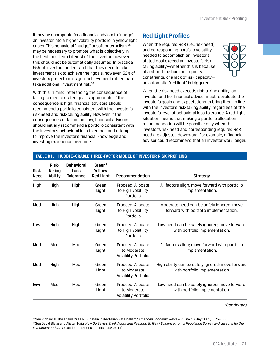<span id="page-24-0"></span>It may be appropriate for a financial advisor to "nudge" an investor into a higher volatility portfolio in yellow light cases. This behavioral "nudge," or soft paternalism, 35 may be necessary to promote what is objectively in the best long-term interest of the investor; however, this should not be automatically assumed. In practice, 55% of investors understand that they need to take investment risk to achieve their goals; however, 52% of investors prefer to miss goal achievement rather than take additional investment risk.36

With this in mind, referencing the consequence of failing to meet a stated goal is appropriate. If the consequence is high, financial advisors should recommend a portfolio consistent with the investor's risk need and risk-taking ability. However, if the consequences of failure are low, financial advisors should initially recommend a portfolio consistent with the investor's behavioral loss tolerance and attempt to improve the investor's financial knowledge and investing experience over time.

**TABLE D1. HUBBLE–GRABLE THREE-FACTOR MODEL OF INVESTOR RISK PROFILING**

#### **Red Light Profiles**

When the required RoR (i.e., risk need) and corresponding portfolio volatility needed to accomplish an investor's stated goal exceed an investor's risktaking ability—whether this is because of a short time horizon, liquidity constraints, or a lack of risk capacity an automatic "red light" is triggered.



When the risk need exceeds risk-taking ability, an investor and her financial advisor must reevaluate the investor's goals and expectations to bring them in line with the investor's risk-taking ability, regardless of the investor's level of behavioral loss tolerance. A red-light situation means that making a portfolio allocation recommendation will be possible only when the investor's risk need and corresponding required RoR need are adjusted downward. For example, a financial advisor could recommend that an investor work longer,

| <b>Risk</b><br>Need | Risk-<br><b>Taking</b><br><b>Ability</b> | <b>Behavioral</b><br>Loss<br><b>Tolerance</b> | Green/<br>Yellow/<br><b>Red Light</b> | Recommendation                                                  | <b>Strategy</b>                                                                     |
|---------------------|------------------------------------------|-----------------------------------------------|---------------------------------------|-----------------------------------------------------------------|-------------------------------------------------------------------------------------|
| High                | High                                     | High                                          | Green<br>Light                        | Proceed: Allocate<br>to High Volatility<br>Portfolio            | All factors align; move forward with portfolio<br>implementation.                   |
| Mod                 | High                                     | High                                          | Green<br>Light                        | Proceed: Allocate<br>to High Volatility<br>Portfolio            | Moderate need can be safely ignored; move<br>forward with portfolio implementation. |
| to₩                 | High                                     | High                                          | Green<br>Light                        | Proceed: Allocate<br>to High Volatility<br>Portfolio            | Low need can be safely ignored; move forward<br>with portfolio implementation.      |
| Mod                 | Mod                                      | Mod                                           | Green<br>Light                        | Proceed: Allocate<br>to Moderate<br><b>Volatility Portfolio</b> | All factors align; move forward with portfolio<br>implementation.                   |
| Mod                 | High                                     | Mod                                           | Green<br>Light                        | Proceed: Allocate<br>to Moderate<br><b>Volatility Portfolio</b> | High ability can be safely ignored; move forward<br>with portfolio implementation.  |
| to₩                 | Mod                                      | Mod                                           | Green<br>Light                        | Proceed: Allocate<br>to Moderate<br><b>Volatility Portfolio</b> | Low need can be safely ignored; move forward<br>with portfolio implementation.      |

*(Continued)*

<sup>35</sup>See Richard H. Thaler and Cass R. Sunstein, "Libertarian Paternalism," *American Economic Review* 93, no. 3 (May 2003): 175–179. <sup>36</sup>See David Blake and Alistair Haig, *How Do Savers Think About and Respond To Risk? Evidence from a Population Survey and Lessons for the Investment Industry* (London: The Pensions Institute, 2014).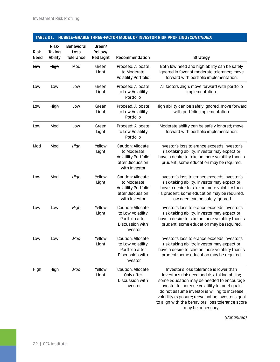#### **TABLE D1. HUBBLE–GRABLE THREE-FACTOR MODEL OF INVESTOR RISK PROFILING** *(CONTINUED)*

| <b>Risk</b><br><b>Need</b> | Risk-<br>Taking<br>Ability | <b>Behavioral</b><br>Loss<br><b>Tolerance</b> | Green/<br>Yellow/<br><b>Red Light</b> | Recommendation                                                                                       | <b>Strategy</b>                                                                                                                                                                                                                                                                                                                                                         |
|----------------------------|----------------------------|-----------------------------------------------|---------------------------------------|------------------------------------------------------------------------------------------------------|-------------------------------------------------------------------------------------------------------------------------------------------------------------------------------------------------------------------------------------------------------------------------------------------------------------------------------------------------------------------------|
| to₩                        | High                       | Mod                                           | Green<br>Light                        | Proceed: Allocate<br>to Moderate<br><b>Volatility Portfolio</b>                                      | Both low need and high ability can be safely<br>ignored in favor of moderate tolerance; move<br>forward with portfolio implementation.                                                                                                                                                                                                                                  |
| Low                        | Low                        | Low                                           | Green<br>Light                        | Proceed: Allocate<br>to Low Volatility<br>Portfolio                                                  | All factors align; move forward with portfolio<br>implementation.                                                                                                                                                                                                                                                                                                       |
| Low                        | High                       | Low                                           | Green<br>Light                        | Proceed: Allocate<br>to Low Volatility<br>Portfolio                                                  | High ability can be safely ignored; move forward<br>with portfolio implementation.                                                                                                                                                                                                                                                                                      |
| Low                        | Mod                        | Low                                           | Green<br>Light                        | Proceed: Allocate<br>to Low Volatility<br>Portfolio                                                  | Moderate ability can be safely ignored; move<br>forward with portfolio implementation.                                                                                                                                                                                                                                                                                  |
| Mod                        | Mod                        | High                                          | Yellow<br>Light                       | Caution: Allocate<br>to Moderate<br><b>Volatility Portfolio</b><br>after Discussion<br>with Investor | Investor's loss tolerance exceeds investor's<br>risk-taking ability; investor may expect or<br>have a desire to take on more volatility than is<br>prudent; some education may be required.                                                                                                                                                                             |
| to₩                        | Mod                        | High                                          | Yellow<br>Light                       | Caution: Allocate<br>to Moderate<br><b>Volatility Portfolio</b><br>after Discussion<br>with Investor | Investor's loss tolerance exceeds investor's<br>risk-taking ability; investor may expect or<br>have a desire to take on more volatility than<br>is prudent; some education may be required.<br>Low need can be safely ignored.                                                                                                                                          |
| Low                        | Low                        | High                                          | Yellow<br>Light                       | Caution: Allocate<br>to Low Volatility<br>Portfolio after<br>Discussion with<br>Investor             | Investor's loss tolerance exceeds investor's<br>risk-taking ability; investor may expect or<br>have a desire to take on more volatility than is<br>prudent; some education may be required.                                                                                                                                                                             |
| Low                        | Low                        | Mod                                           | Yellow<br>Light                       | Caution: Allocate<br>to Low Volatility<br>Portfolio after<br>Discussion with<br>Investor             | Investor's loss tolerance exceeds investor's<br>risk-taking ability; investor may expect or<br>have a desire to take on more volatility than is<br>prudent; some education may be required.                                                                                                                                                                             |
| High                       | High                       | Mod                                           | Yellow<br>Light                       | Caution: Allocate<br>Only after<br>Discussion with<br>Investor                                       | Investor's loss tolerance is lower than<br>investor's risk need and risk-taking ability;<br>some education may be needed to encourage<br>investor to increase volatility to meet goals;<br>do not assume investor is willing to increase<br>volatility exposure; reevaluating investor's goal<br>to align with the behavioral loss tolerance score<br>may be necessary. |

*(Continued)*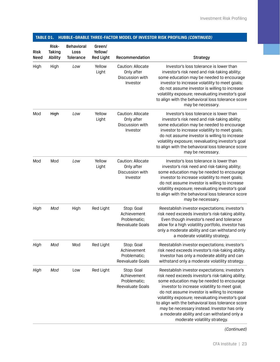| <b>Risk</b><br>Need | Risk-<br>Taking<br>Ability | $11000$ LL $-$ uiv<br><b>Behavioral</b><br><b>Loss</b><br><b>Tolerance</b> | Green/<br>Yellow/<br><b>Red Light</b> | Recommendation                                                 | DEE TIINEE TAGTUN MODEL OF MYESTON NIJN FNOLIEMU (GON <i>TINGED)</i><br><b>Strategy</b>                                                                                                                                                                                                                                                                                                                                                                                                    |
|---------------------|----------------------------|----------------------------------------------------------------------------|---------------------------------------|----------------------------------------------------------------|--------------------------------------------------------------------------------------------------------------------------------------------------------------------------------------------------------------------------------------------------------------------------------------------------------------------------------------------------------------------------------------------------------------------------------------------------------------------------------------------|
| High                | High                       | Low                                                                        | Yellow<br>Light                       | Caution: Allocate<br>Only after<br>Discussion with<br>Investor | Investor's loss tolerance is lower than<br>investor's risk need and risk-taking ability;<br>some education may be needed to encourage<br>investor to increase volatility to meet goals;<br>do not assume investor is willing to increase<br>volatility exposure; reevaluating investor's goal<br>to align with the behavioral loss tolerance score<br>may be necessary.                                                                                                                    |
| Mod                 | High                       | Low                                                                        | Yellow<br>Light                       | Caution: Allocate<br>Only after<br>Discussion with<br>Investor | Investor's loss tolerance is lower than<br>investor's risk need and risk-taking ability;<br>some education may be needed to encourage<br>investor to increase volatility to meet goals;<br>do not assume investor is willing to increase<br>volatility exposure; reevaluating investor's goal<br>to align with the behavioral loss tolerance score<br>may be necessary.                                                                                                                    |
| Mod                 | Mod                        | Low                                                                        | Yellow<br>Light                       | Caution: Allocate<br>Only after<br>Discussion with<br>Investor | Investor's loss tolerance is lower than<br>investor's risk need and risk-taking ability;<br>some education may be needed to encourage<br>investor to increase volatility to meet goals;<br>do not assume investor is willing to increase<br>volatility exposure; reevaluating investor's goal<br>to align with the behavioral loss tolerance score<br>may be necessary.                                                                                                                    |
| High                | Mod                        | High                                                                       | Red Light                             | Stop: Goal<br>Achievement<br>Problematic;<br>Reevaluate Goals  | Reestablish investor expectations; investor's<br>risk need exceeds investor's risk-taking ability.<br>Even though investor's need and tolerance<br>allow for a high volatility portfolio, investor has<br>only a moderate ability and can withstand only<br>a moderate volatility strategy.                                                                                                                                                                                                |
| High                | Mod                        | Mod                                                                        | Red Light                             | Stop: Goal<br>Achievement<br>Problematic;<br>Reevaluate Goals  | Reestablish investor expectations; investor's<br>risk need exceeds investor's risk-taking ability.<br>Investor has only a moderate ability and can<br>withstand only a moderate volatility strategy.                                                                                                                                                                                                                                                                                       |
| High                | Mod                        | Low                                                                        | Red Light                             | Stop: Goal<br>Achievement<br>Problematic;<br>Reevaluate Goals  | Reestablish investor expectations; investor's<br>risk need exceeds investor's risk-taking ability;<br>some education may be needed to encourage<br>investor to increase volatility to meet goal;<br>do not assume investor is willing to increase<br>volatility exposure; reevaluating investor's goal<br>to align with the behavioral loss tolerance score<br>may be necessary instead. Investor has only<br>a moderate ability and can withstand only a<br>moderate volatility strategy. |

### **TABLE D1. HUBBLE–GRABLE THREE-FACTOR MODEL OF INVESTOR RISK PROFILING** *(CONTINUED)*

*(Continued)*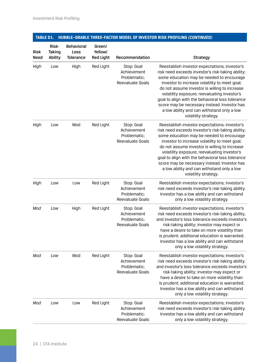| <b>Risk</b><br>Need | Risk-<br>Taking<br>Ability | <b>Behavioral</b><br>Loss<br><b>Tolerance</b> | Green/<br>Yellow/<br><b>Red Light</b> | Recommendation                                                | <b>Strategy</b>                                                                                                                                                                                                                                                                                                                                                                                                                                                             |
|---------------------|----------------------------|-----------------------------------------------|---------------------------------------|---------------------------------------------------------------|-----------------------------------------------------------------------------------------------------------------------------------------------------------------------------------------------------------------------------------------------------------------------------------------------------------------------------------------------------------------------------------------------------------------------------------------------------------------------------|
| High                | Low                        | High                                          | Red Light                             | Stop: Goal<br>Achievement<br>Problematic;<br>Reevaluate Goals | Reestablish investor expectations; investor's<br>risk need exceeds investor's risk-taking ability;<br>some education may be needed to encourage<br>investor to increase volatility to meet goal;<br>do not assume investor is willing to increase<br>volatility exposure; reevaluating investor's<br>goal to align with the behavioral loss tolerance<br>score may be necessary instead. Investor has<br>a low ability and can withstand only a low<br>volatility strategy. |
| High                | Low                        | Mod                                           | Red Light                             | Stop: Goal<br>Achievement<br>Problematic:<br>Reevaluate Goals | Reestablish investor expectations; investor's<br>risk need exceeds investor's risk-taking ability;<br>some education may be needed to encourage<br>investor to increase volatility to meet goal;<br>do not assume investor is willing to increase<br>volatility exposure; reevaluating investor's<br>goal to align with the behavioral loss tolerance<br>score may be necessary instead. Investor has<br>a low ability and can withstand only a low<br>volatility strategy. |
| High                | Low                        | Low                                           | Red Light                             | Stop: Goal<br>Achievement<br>Problematic;<br>Reevaluate Goals | Reestablish investor expectations; investor's<br>risk need exceeds investor's risk-taking ability.<br>Investor has a low ability and can withstand<br>only a low volatility strategy.                                                                                                                                                                                                                                                                                       |
| Mod                 | Low                        | High                                          | Red Light                             | Stop: Goal<br>Achievement<br>Problematic;<br>Reevaluate Goals | Reestablish investor expectations; investor's<br>risk need exceeds investor's risk-taking ability,<br>and investor's loss tolerance exceeds investor's<br>risk-taking ability; investor may expect or<br>have a desire to take on more volatility than<br>is prudent; additional education is warranted.<br>Investor has a low ability and can withstand<br>only a low volatility strategy.                                                                                 |
| Mod                 | Low                        | Mod                                           | Red Light                             | Stop: Goal<br>Achievement<br>Problematic;<br>Reevaluate Goals | Reestablish investor expectations; investor's<br>risk need exceeds investor's risk-taking ability,<br>and investor's loss tolerance exceeds investor's<br>risk-taking ability; investor may expect or<br>have a desire to take on more volatility than<br>is prudent; additional education is warranted.<br>Investor has a low ability and can withstand<br>only a low volatility strategy.                                                                                 |
| Mod                 | Low                        | Low                                           | Red Light                             | Stop: Goal<br>Achievement<br>Problematic;<br>Reevaluate Goals | Reestablish investor expectations; investor's<br>risk need exceeds investor's risk-taking ability.<br>Investor has a low ability and can withstand<br>only a low volatility strategy.                                                                                                                                                                                                                                                                                       |

### **TABLE D1. HUBBLE–GRABLE THREE-FACTOR MODEL OF INVESTOR RISK PROFILING** *(CONTINUED)*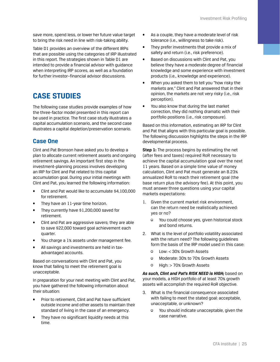<span id="page-28-0"></span>save more, spend less, or lower her future value target to bring the risk need in line with risk-taking ability.

Table D1 provides an overview of the different IRPs that are possible using the categories of IRP illustrated in this report. The strategies shown in Table D1 are intended to provide a financial advisor with guidance when interpreting IRP scores, as well as a foundation for further investor–financial advisor discussions.

# **CASE STUDIES**

The following case studies provide examples of how the three-factor model presented in this report can be used in practice. The first case study illustrates a capital accumulation scenario, and the second case illustrates a capital depletion/preservation scenario.

#### **Case One**

Clint and Pat Bronson have asked you to develop a plan to allocate current retirement assets and ongoing retirement savings. An important first step in the investment-planning process involves developing an IRP for Clint and Pat related to this capital accumulation goal. During your initial meetings with Clint and Pat, you learned the following information:

- Clint and Pat would like to accumulate \$4,100,000 for retirement.
- They have an 11-year time horizon.
- They currently have \$1,200,000 saved for retirement.
- Clint and Pat are aggressive savers; they are able to save \$22,000 toward goal achievement each quarter.
- You charge a 1% assets under management fee.
- All savings and investments are held in taxadvantaged accounts.

Based on conversations with Clint and Pat, you know that failing to meet the retirement goal is unacceptable.

In preparation for your next meeting with Clint and Pat, you have gathered the following information about their situation:

- Prior to retirement, Clint and Pat have sufficient outside income and other assets to maintain their standard of living in the case of an emergency.
- They have no significant liquidity needs at this time.
- As a couple, they have a moderate level of risk tolerance (i.e., willingness to take risk).
- They prefer investments that provide a mix of safety and return (i.e., risk preference).
- Based on discussions with Clint and Pat, you believe they have a moderate degree of financial knowledge and some experience with investment products (i.e., knowledge and experience).
- When you asked them to tell you "how risky the markets are," Clint and Pat answered that in their opinion, the markets are not very risky (i.e., risk perception).
- You also know that during the last market correction, they did nothing dramatic with their portfolio positions (i.e., risk composure).

Based on this information, estimating an IRP for Clint and Pat that aligns with this particular goal is possible. The following discussion highlights the steps in the IRP developmental process.

**Step 1:** The process begins by estimating the net (after fees and taxes) required RoR necessary to achieve the capital accumulation goal over the next 11 years. Based on a simple time value of money calculation, Clint and Pat must generate an 8.23% annualized RoR to reach their retirement goal (the base return plus the advisory fee). At this point, you must answer three questions using your capital markets expectations:

- 1. Given the current market risk environment, can the return need be realistically achieved: yes or no?
	- You could choose yes, given historical stock and bond returns.
- 2. What is the level of portfolio volatility associated with the return need? The following guidelines form the basis of the IRP model used in this case:
	- Low: < 30% Growth Assets
	- Moderate: 30% to 70% Growth Assets
	- High: > 70% Growth Assets

*As such, Clint and Pat's RISK NEED is HIGH;* based on your models, a HIGH portfolio of at least 70% growth assets will accomplish the required RoR objective.

- 3. What is the financial consequence associated with failing to meet the stated goal: acceptable, unacceptable, or unknown?
	- You should indicate unacceptable, given the case narrative.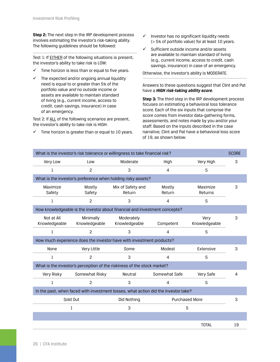**Step 2:** The next step in the IRP development process involves estimating the investor's risk-taking ability. The following guidelines should be followed:

Test 1: If **EITHER** of the following situations is present, the investor's ability to take risk is LOW:

- $\checkmark$  Time horizon is less than or equal to five years.
- The expected and/or ongoing annual liquidity need is equal to or greater than 5% of the portfolio value *and* no outside income or assets are available to maintain standard of living (e.g., current income, access to credit, cash savings, insurance) in case of an emergency.

Test 2: If ALL of the following scenarios are present, the investor's ability to take risk is HIGH:

 $\checkmark$  Time horizon is greater than or equal to 10 years.

- $\checkmark$  Investor has no significant liquidity needs (> 5% of portfolio value) for at least 10 years.
- $\checkmark$  Sufficient outside income and/or assets are available to maintain standard of living (e.g., current income, access to credit, cash savings, insurance) in case of an emergency.

Otherwise, the investor's ability is MODERATE.

#### Answers to these questions suggest that Clint and Pat have a *HIGH risk-taking ability score*.

**Step 3:** The third step in the IRP development process focuses on estimating a behavioral loss tolerance score. Each of the six inputs that comprise the score comes from investor data-gathering forms, assessments, and notes made by you and/or your staff. Based on the inputs described in the case narrative, Clint and Pat have a behavioral loss score of 19, as shown below:

| What is the investor's risk tolerance or willingness to take financial risk?       |                            |                             |                       |                       |    |  |  |  |  |
|------------------------------------------------------------------------------------|----------------------------|-----------------------------|-----------------------|-----------------------|----|--|--|--|--|
| Very Low                                                                           | Low                        | Moderate                    | High                  | Very High             | 3  |  |  |  |  |
| 1                                                                                  | $\overline{c}$             |                             | 4                     | 5                     |    |  |  |  |  |
| What is the investor's preference when holding risky assets?                       |                            |                             |                       |                       |    |  |  |  |  |
| Maximize<br>Safety                                                                 | Mostly<br>Safety           | Mix of Safety and<br>Return | Mostly<br>Return      | Maximize<br>Returns   | 3  |  |  |  |  |
| 1                                                                                  | $\overline{c}$             | 3                           | 4                     | 5                     |    |  |  |  |  |
| How knowledgeable is the investor about financial and investment concepts?         |                            |                             |                       |                       |    |  |  |  |  |
| Not at All<br>Knowledgeable                                                        | Minimally<br>Knowledgeable | Moderately<br>Knowledgeable | Competent             | Very<br>Knowledgeable | 3  |  |  |  |  |
| $\mathbf{1}$                                                                       | $\overline{c}$             | 3                           | $\overline{a}$        | 5                     |    |  |  |  |  |
| How much experience does the investor have with investment products?               |                            |                             |                       |                       |    |  |  |  |  |
| None                                                                               | Very Little                | Some                        | Modest                | Extensive             | 3  |  |  |  |  |
| $\mathbf{1}$                                                                       | $\mathcal{P}$              | 3                           | 4                     | 5                     |    |  |  |  |  |
| What is the investor's perception of the riskiness of the stock market?            |                            |                             |                       |                       |    |  |  |  |  |
| Very Risky                                                                         | Somewhat Risky             | Neutral                     | Somewhat Safe         | Very Safe             | 4  |  |  |  |  |
| $\mathbf{1}$                                                                       | $\overline{c}$             | 3                           | $\overline{4}$        | 5                     |    |  |  |  |  |
| In the past, when faced with investment losses, what action did the investor take? |                            |                             |                       |                       |    |  |  |  |  |
|                                                                                    | Sold Out                   | Did Nothing                 | <b>Purchased More</b> |                       | 3  |  |  |  |  |
|                                                                                    | 1                          | 3                           | 5                     |                       |    |  |  |  |  |
|                                                                                    |                            |                             |                       |                       |    |  |  |  |  |
|                                                                                    |                            |                             |                       | <b>TOTAL</b>          | 19 |  |  |  |  |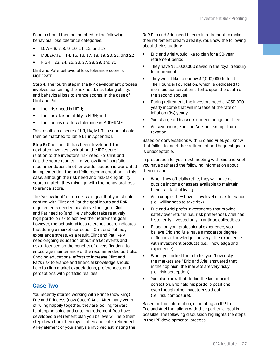<span id="page-30-0"></span>Scores should then be matched to the following behavioral loss tolerance categories:

- LOW = 6, 7, 8, 9, 10, 11, 12, and 13
- MODERATE = 14, 15, 16, 17, 18, 19, 20, 21, and 22
- HIGH = 23, 24, 25, 26, 27, 28, 29, and 30

Clint and Pat's behavioral loss tolerance score is MODERATE.

**Step 4:** The fourth step in the IRP development process involves combining the risk need, risk-taking ability, and behavioral loss tolerance scores. In the case of Clint and Pat,

- their risk need is HIGH;
- their risk-taking ability is HIGH; and
- their behavioral loss tolerance is MODERATE.

This results in a score of HN, HA, MT. This score should then be matched to Table D1 in Appendix D.

**Step 5:** Once an IRP has been developed, the next step involves evaluating the IRP score in relation to the investor's risk need. For Clint and Pat, the score results in a "yellow light" portfolio recommendation. In other words, caution is warranted in implementing the portfolio recommendation. In this case, although the risk need and risk-taking ability scores match, they misalign with the behavioral loss tolerance score.

The "yellow light" outcome is a signal that you should confirm with Clint and Pat the goal inputs and RoR requirements needed to achieve their goal. Clint and Pat need to (and likely should) take relatively high portfolio risk to achieve their retirement goal; however, the behavioral loss tolerance score indicates that during a market correction, Clint and Pat may experience stress. As a result, Clint and Pat likely need ongoing education about market events and risks—focused on the benefits of diversification—to encourage maintenance of the recommended portfolio. Ongoing educational efforts to increase Clint and Pat's risk tolerance and financial knowledge should help to align market expectations, preferences, and perceptions with portfolio realities.

#### **Case Two**

You recently started working with Prince (now King) Eric and Princess (now Queen) Ariel. After many years of ruling happily together, they are looking forward to stepping aside and entering retirement. You have developed a retirement plan you believe will help them step down from their royal duties and enter retirement. A key element of your analysis involved estimating the

RoR Eric and Ariel need to earn in retirement to make their retirement dream a reality. You know the following about their situation:

- Eric and Ariel would like to plan for a 30-year retirement period.
- They have \$11,000,000 saved in the royal treasury for retirement.
- They would like to endow \$2,000,000 to fund The Flounder Foundation, which is dedicated to mermaid conservation efforts, upon the death of the second spouse.
- During retirement, the investors need a \$350,000 yearly income that will increase at the rate of inflation (3%) yearly.
- You charge a 1% assets under management fee.
- As sovereigns, Eric and Ariel are exempt from taxation.

Based on conversations with Eric and Ariel, you know that failing to meet their retirement and bequest goals is unacceptable.

In preparation for your next meeting with Eric and Ariel, you have gathered the following information about their situation:

- When they officially retire, they will have no outside income or assets available to maintain their standard of living.
- As a couple, they have a low level of risk tolerance (i.e., willingness to take risk).
- Eric and Ariel prefer investments that provide safety over returns (i.e., risk preference); Ariel has historically invested only in antique collectibles.
- Based on your professional experience, you believe Eric and Ariel have a moderate degree of financial knowledge and very little experience with investment products (i.e., knowledge and experience).
- When you asked them to tell you "how risky the markets are," Eric and Ariel answered that in their opinion, the markets are very risky (i.e., risk perception).
- You also know that during the last market correction, Eric held his portfolio positions even though other investors sold out (i.e., risk composure).

Based on this information, estimating an IRP for Eric and Ariel that aligns with their particular goal is possible. The following discussion highlights the steps in the IRP developmental process.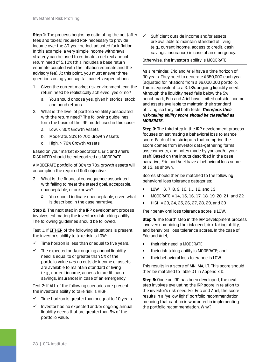**Step 1:** The process begins by estimating the net (after fees and taxes) required RoR necessary to provide income over the 30-year period, adjusted for inflation. In this example, a very simple income withdrawal strategy can be used to estimate a net real annual return need of 5.10% (this includes a base return estimate coupled with the inflation estimate and the advisory fee). At this point, you must answer three questions using your capital markets expectations:

- 1. Given the current market risk environment, can the return need be realistically achieved: yes or no?
	- a. You should choose yes, given historical stock and bond returns.
- 2. What is the level of portfolio volatility associated with the return need? The following guidelines form the basis of the IRP model used in this case:
	- a. Low: < 30% Growth Assets
	- b. Moderate: 30% to 70% Growth Assets
	- c. High: > 70% Growth Assets

Based on your market expectations, Eric and Ariel's RISK NEED should be categorized as MODERATE.

A MODERATE portfolio of 30% to 70% growth assets will accomplish the required RoR objective.

- 3. What is the financial consequence associated with failing to meet the stated goal: acceptable, unacceptable, or unknown?
	- You should indicate unacceptable, given what is described in the case narrative.

**Step 2:** The next step in the IRP development process involves estimating the investor's risk-taking ability. The following guidelines should be followed:

Test 1: If EITHER of the following situations is present, the investor's ability to take risk is LOW:

- $\checkmark$  Time horizon is less than or equal to five years.
- $\checkmark$  The expected and/or ongoing annual liquidity need is equal to or greater than 5% of the portfolio value *and* no outside income or assets are available to maintain standard of living (e.g., current income, access to credit, cash savings, insurance) in case of an emergency.

Test 2: If ALL of the following scenarios are present, the investor's ability to take risk is HIGH:

- $\checkmark$  Time horizon is greater than or equal to 10 years.
- 9 Investor has no expected and/or ongoing annual liquidity needs that are greater than 5% of the portfolio value.

 $\checkmark$  Sufficient outside income and/or assets are available to maintain standard of living (e.g., current income, access to credit, cash savings, insurance) in case of an emergency.

Otherwise, the investor's ability is MODERATE.

As a reminder, Eric and Ariel have a time horizon of 30 years. They need to generate \$350,000 each year (adjusted for inflation) from a \$9,000,000 portfolio. This is equivalent to a 3.18% ongoing liquidity need. Although the liquidity need falls below the 5% benchmark, Eric and Ariel have limited outside income and assets available to maintain their standard of living, so they fail both tests. *Therefore, their risk-taking ability score should be classified as MODERATE.*

**Step 3:** The third step in the IRP development process focuses on estimating a behavioral loss tolerance score. Each of the six inputs that comprise the score comes from investor data-gathering forms, assessments, and notes made by you and/or your staff. Based on the inputs described in the case narrative, Eric and Ariel have a behavioral loss score of 13, as shown.

Scores should then be matched to the following behavioral loss tolerance categories:

- LOW = 6, 7, 8, 9, 10, 11, 12, and 13
- MODERATE = 14, 15, 16, 17, 18, 19, 20, 21, and 22
- HIGH = 23, 24, 25, 26, 27, 28, 29, and 30

Their behavioral loss tolerance score is LOW.

**Step 4:** The fourth step in the IRP development process involves combining the risk need, risk-taking ability, and behavioral loss tolerance scores. In the case of Eric and Ariel,

- their risk need is MODERATE;
- their risk-taking ability is MODERATE; and
- their behavioral loss tolerance is LOW.

This results in a score of MN, MA, LT. This score should then be matched to Table D1 in Appendix D.

**Step 5:** Once an IRP has been developed, the next step involves evaluating the IRP score in relation to the investor's risk need. For Eric and Ariel, the score results in a "yellow light" portfolio recommendation, meaning that caution is warranted in implementing the portfolio recommendation. Why?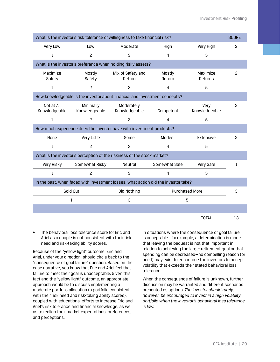| What is the investor's risk tolerance or willingness to take financial risk?       |                            |                             |                  |                       |                |  |  |  |  |
|------------------------------------------------------------------------------------|----------------------------|-----------------------------|------------------|-----------------------|----------------|--|--|--|--|
| Very Low                                                                           | Low                        | Moderate                    | High             | Very High             | $\overline{2}$ |  |  |  |  |
| $\mathbf{1}$                                                                       | 2                          | 3                           | $\overline{4}$   | 5                     |                |  |  |  |  |
| What is the investor's preference when holding risky assets?                       |                            |                             |                  |                       |                |  |  |  |  |
| Maximize<br>Safety                                                                 | Mostly<br>Safety           | Mix of Safety and<br>Return | Mostly<br>Return | Maximize<br>Returns   | $\overline{2}$ |  |  |  |  |
| 1                                                                                  | $\overline{c}$             | 3                           | 4                | 5                     |                |  |  |  |  |
| How knowledgeable is the investor about financial and investment concepts?         |                            |                             |                  |                       |                |  |  |  |  |
| Not at All<br>Knowledgeable                                                        | Minimally<br>Knowledgeable | Moderately<br>Knowledgeable | Competent        | Very<br>Knowledgeable | 3              |  |  |  |  |
| $\mathbf{1}$                                                                       | $\overline{c}$             | 3                           | 4                | 5                     |                |  |  |  |  |
| How much experience does the investor have with investment products?               |                            |                             |                  |                       |                |  |  |  |  |
| None                                                                               | Very Little                | Some                        | Modest           | Extensive             | 2              |  |  |  |  |
| $\mathbf{1}$                                                                       | $\overline{c}$             |                             | 4                | 5                     |                |  |  |  |  |
| What is the investor's perception of the riskiness of the stock market?            |                            |                             |                  |                       |                |  |  |  |  |
| Very Risky                                                                         | Somewhat Risky             | Neutral                     | Somewhat Safe    | Very Safe             | 1              |  |  |  |  |
| $\mathbf{1}$                                                                       | $\overline{c}$             | 3                           | $\overline{4}$   | 5                     |                |  |  |  |  |
| In the past, when faced with investment losses, what action did the investor take? |                            |                             |                  |                       |                |  |  |  |  |
|                                                                                    | Sold Out                   | Did Nothing                 | Purchased More   |                       | 3              |  |  |  |  |
|                                                                                    | 1                          | 3                           | 5                |                       |                |  |  |  |  |
|                                                                                    |                            |                             |                  |                       |                |  |  |  |  |
|                                                                                    |                            |                             |                  | <b>TOTAL</b>          | 13             |  |  |  |  |

• The behavioral loss tolerance score for Eric and Ariel as a couple is not consistent with their risk need and risk-taking ability scores.

Because of the "yellow light" outcome, Eric and Ariel, under your direction, should circle back to the "consequence of goal failure" question. Based on the case narrative, you know that Eric and Ariel feel that failure to meet their goal is unacceptable. Given this fact and the "yellow light" outcome, an appropriate approach would be to discuss implementing a moderate portfolio allocation (a portfolio consistent with their risk need and risk-taking ability scores), coupled with educational efforts to increase Eric and Ariel's risk tolerance and financial knowledge, as well as to realign their market expectations, preferences, and perceptions.

In situations where the consequence of goal failure is acceptable—for example, a determination is made that leaving the bequest is not that important in relation to achieving the larger retirement goal or that spending can be decreased—no compelling reason (or need) may exist to encourage the investors to accept volatility that exceeds their stated behavioral loss tolerance.

When the consequence of failure is unknown, further discussion may be warranted and different scenarios presented as options. *The investor should rarely, however, be encouraged to invest in a high volatility portfolio when the investor's behavioral loss tolerance is low.*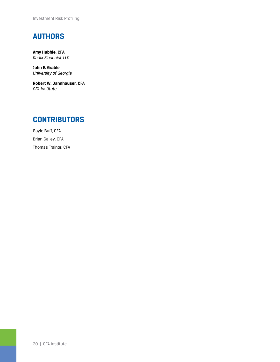Investment Risk Profiling

# **AUTHORS**

**Amy Hubble, CFA** *Radix Financial, LLC*

**John E. Grable** *University of Georgia*

**Robert W. Dannhauser, CFA** *CFA Institute*

### **CONTRIBUTORS**

Gayle Buff, CFA Brian Galley, CFA Thomas Trainor, CFA